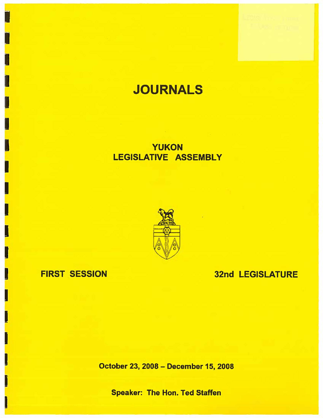# **JOURNALS**

## YUKON LEGISLATIVE ASSEMBLY



FIRST SESSION

I

I

I

I

I

I

I

I

I

I

I

32nd LEGISLATURE

October 23, 2008 - December 15, 2008

Speaker: The Hon. Ted Staffen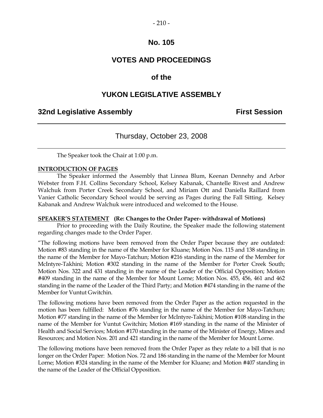#### $-210-$

### **No. 105**

### **VOTES AND PROCEEDINGS**

### **of the**

### **YUKON LEGISLATIVE ASSEMBLY**

### **32nd Legislative Assembly First Session**

### Thursday, October 23, 2008

The Speaker took the Chair at 1:00 p.m.

#### **INTRODUCTION OF PAGES**

 The Speaker informed the Assembly that Linnea Blum, Keenan Dennehy and Arbor Webster from F.H. Collins Secondary School, Kelsey Kabanak, Chantelle Rivest and Andrew Walchuk from Porter Creek Secondary School, and Miriam Ott and Daniella Raillard from Vanier Catholic Secondary School would be serving as Pages during the Fall Sitting. Kelsey Kabanak and Andrew Walchuk were introduced and welcomed to the House.

#### **SPEAKER'S STATEMENT (Re: Changes to the Order Paper- withdrawal of Motions)**

 Prior to proceeding with the Daily Routine, the Speaker made the following statement regarding changes made to the Order Paper.

"The following motions have been removed from the Order Paper because they are outdated: Motion #83 standing in the name of the Member for Kluane; Motion Nos. 115 and 138 standing in the name of the Member for Mayo-Tatchun; Motion #216 standing in the name of the Member for McIntyre-Takhini; Motion #302 standing in the name of the Member for Porter Creek South; Motion Nos. 322 and 431 standing in the name of the Leader of the Official Opposition; Motion #409 standing in the name of the Member for Mount Lorne; Motion Nos. 455, 456, 461 and 462 standing in the name of the Leader of the Third Party; and Motion #474 standing in the name of the Member for Vuntut Gwitchin.

The following motions have been removed from the Order Paper as the action requested in the motion has been fulfilled: Motion #76 standing in the name of the Member for Mayo-Tatchun; Motion #77 standing in the name of the Member for McIntyre-Takhini; Motion #108 standing in the name of the Member for Vuntut Gwitchin; Motion #169 standing in the name of the Minister of Health and Social Services; Motion #170 standing in the name of the Minister of Energy, Mines and Resources; and Motion Nos. 201 and 421 standing in the name of the Member for Mount Lorne.

The following motions have been removed from the Order Paper as they relate to a bill that is no longer on the Order Paper: Motion Nos. 72 and 186 standing in the name of the Member for Mount Lorne; Motion #324 standing in the name of the Member for Kluane; and Motion #407 standing in the name of the Leader of the Official Opposition.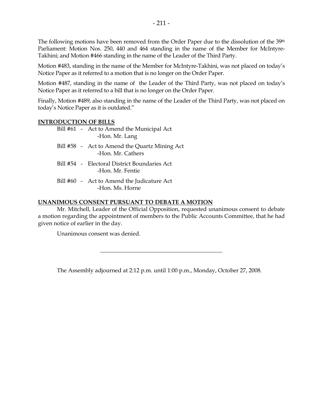The following motions have been removed from the Order Paper due to the dissolution of the 39<sup>th</sup> Parliament: Motion Nos. 250, 440 and 464 standing in the name of the Member for McIntyre-Takhini; and Motion #466 standing in the name of the Leader of the Third Party.

Motion #483, standing in the name of the Member for McIntyre-Takhini, was not placed on today's Notice Paper as it referred to a motion that is no longer on the Order Paper.

Motion #487, standing in the name of the Leader of the Third Party, was not placed on today's Notice Paper as it referred to a bill that is no longer on the Order Paper.

Finally, Motion #489, also standing in the name of the Leader of the Third Party, was not placed on today's Notice Paper as it is outdated."

#### **INTRODUCTION OF BILLS**

|  | Bill #61 - Act to Amend the Municipal Act<br>-Hon. Mr. Lang        |
|--|--------------------------------------------------------------------|
|  | Bill #58 - Act to Amend the Quartz Mining Act<br>-Hon. Mr. Cathers |
|  | Bill #54 - Electoral District Boundaries Act<br>-Hon, Mr. Fentie   |
|  | Bill #60 - Act to Amend the Judicature Act<br>-Hon, Ms. Horne      |
|  |                                                                    |

#### **UNANIMOUS CONSENT PURSUANT TO DEBATE A MOTION**

 Mr. Mitchell, Leader of the Official Opposition, requested unanimous consent to debate a motion regarding the appointment of members to the Public Accounts Committee, that he had given notice of earlier in the day.

Unanimous consent was denied.

The Assembly adjourned at 2:12 p.m. until 1:00 p.m., Monday, October 27, 2008.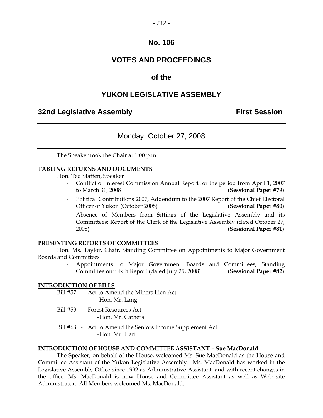#### $-212-$

### **No. 106**

### **VOTES AND PROCEEDINGS**

### **of the**

### **YUKON LEGISLATIVE ASSEMBLY**

### **32nd Legislative Assembly The Contract Session**

### Monday, October 27, 2008

The Speaker took the Chair at 1:00 p.m.

#### **TABLING RETURNS AND DOCUMENTS**

Hon. Ted Staffen, Speaker

- Conflict of Interest Commission Annual Report for the period from April 1, 2007 to March 31, 2008 **(Sessional Paper #79)**
- Political Contributions 2007, Addendum to the 2007 Report of the Chief Electoral Officer of Yukon (October 2008) **(Sessional Paper #80)**
- Absence of Members from Sittings of the Legislative Assembly and its Committees: Report of the Clerk of the Legislative Assembly (dated October 27, 2008) **(Sessional Paper #81)**

#### **PRESENTING REPORTS OF COMMITTEES**

 Hon. Ms. Taylor, Chair, Standing Committee on Appointments to Major Government Boards and Committees

> - Appointments to Major Government Boards and Committees, Standing Committee on: Sixth Report (dated July 25, 2008) **(Sessional Paper #82)**

#### **INTRODUCTION OF BILLS**

- Bill #57 Act to Amend the Miners Lien Act -Hon. Mr. Lang
- Bill #59 Forest Resources Act -Hon. Mr. Cathers
- Bill #63 Act to Amend the Seniors Income Supplement Act -Hon. Mr. Hart

#### **INTRODUCTION OF HOUSE AND COMMITTEE ASSISTANT – Sue MacDonald**

 The Speaker, on behalf of the House, welcomed Ms. Sue MacDonald as the House and Committee Assistant of the Yukon Legislative Assembly. Ms. MacDonald has worked in the Legislative Assembly Office since 1992 as Administrative Assistant, and with recent changes in the office, Ms. MacDonald is now House and Committee Assistant as well as Web site Administrator. All Members welcomed Ms. MacDonald.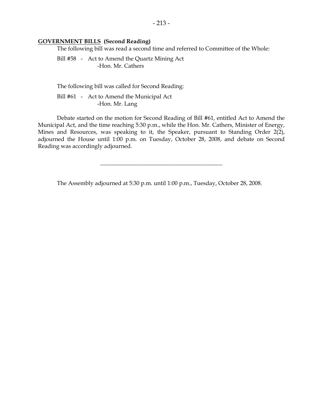#### **GOVERNMENT BILLS (Second Reading)**

The following bill was read a second time and referred to Committee of the Whole:

 Bill #58 - Act to Amend the Quartz Mining Act -Hon. Mr. Cathers

The following bill was called for Second Reading:

 Bill #61 - Act to Amend the Municipal Act -Hon. Mr. Lang

 Debate started on the motion for Second Reading of Bill #61, entitled Act to Amend the Municipal Act, and the time reaching 5:30 p.m., while the Hon. Mr. Cathers, Minister of Energy, Mines and Resources, was speaking to it, the Speaker, pursuant to Standing Order 2(2), adjourned the House until 1:00 p.m. on Tuesday, October 28, 2008, and debate on Second Reading was accordingly adjourned.

The Assembly adjourned at 5:30 p.m. until 1:00 p.m., Tuesday, October 28, 2008.

 $\overline{\phantom{a}}$  , and the set of the set of the set of the set of the set of the set of the set of the set of the set of the set of the set of the set of the set of the set of the set of the set of the set of the set of the s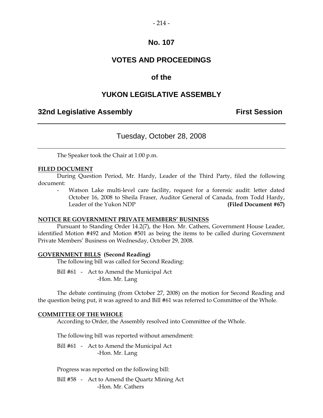#### $-214-$

### **No. 107**

### **VOTES AND PROCEEDINGS**

### **of the**

### **YUKON LEGISLATIVE ASSEMBLY**

### **32nd Legislative Assembly The Contract Session**

### Tuesday, October 28, 2008

The Speaker took the Chair at 1:00 p.m.

#### **FILED DOCUMENT**

 During Question Period, Mr. Hardy, Leader of the Third Party, filed the following document:

Watson Lake multi-level care facility, request for a forensic audit: letter dated October 16, 2008 to Sheila Fraser, Auditor General of Canada, from Todd Hardy, Leader of the Yukon NDP **(Filed Document #67)**

#### **NOTICE RE GOVERNMENT PRIVATE MEMBERS' BUSINESS**

 Pursuant to Standing Order 14.2(7), the Hon. Mr. Cathers, Government House Leader, identified Motion #492 and Motion #501 as being the items to be called during Government Private Members' Business on Wednesday, October 29, 2008.

#### **GOVERNMENT BILLS (Second Reading)**

The following bill was called for Second Reading:

Bill #61 - Act to Amend the Municipal Act -Hon. Mr. Lang

 The debate continuing (from October 27, 2008) on the motion for Second Reading and the question being put, it was agreed to and Bill #61 was referred to Committee of the Whole.

#### **COMMITTEE OF THE WHOLE**

According to Order, the Assembly resolved into Committee of the Whole.

The following bill was reported without amendment:

 Bill #61 - Act to Amend the Municipal Act -Hon. Mr. Lang

Progress was reported on the following bill:

 Bill #58 - Act to Amend the Quartz Mining Act -Hon. Mr. Cathers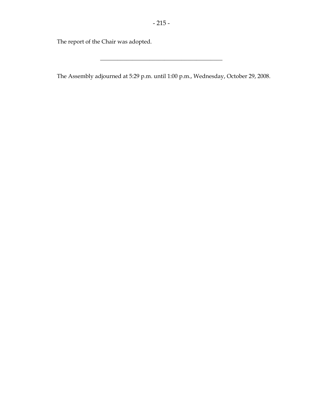The report of the Chair was adopted.

The Assembly adjourned at 5:29 p.m. until 1:00 p.m., Wednesday, October 29, 2008.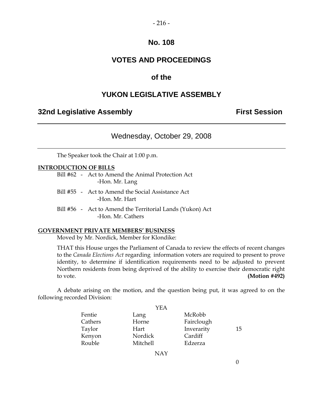#### $-216-$

### **No. 108**

### **VOTES AND PROCEEDINGS**

### **of the**

### **YUKON LEGISLATIVE ASSEMBLY**

### **32nd Legislative Assembly The Contract Session**

### Wednesday, October 29, 2008

The Speaker took the Chair at 1:00 p.m.

#### **INTRODUCTION OF BILLS**

|                |  | Bill #62 - Act to Amend the Animal Protection Act |  |  |
|----------------|--|---------------------------------------------------|--|--|
| -Hon. Mr. Lang |  |                                                   |  |  |

- Bill #55 Act to Amend the Social Assistance Act -Hon. Mr. Hart
- Bill #56 Act to Amend the Territorial Lands (Yukon) Act -Hon. Mr. Cathers

#### **GOVERNMENT PRIVATE MEMBERS' BUSINESS**

Moved by Mr. Nordick, Member for Klondike:

 THAT this House urges the Parliament of Canada to review the effects of recent changes to the *Canada Elections Act* regarding information voters are required to present to prove identity, to determine if identification requirements need to be adjusted to prevent Northern residents from being deprived of the ability to exercise their democratic right to vote. **(Motion #492)**

 A debate arising on the motion, and the question being put, it was agreed to on the following recorded Division:

|         | YEA      |            |    |
|---------|----------|------------|----|
| Fentie  | Lang     | McRobb     |    |
| Cathers | Horne    | Fairclough |    |
| Taylor  | Hart     | Inverarity | 15 |
| Kenyon  | Nordick  | Cardiff    |    |
| Rouble  | Mitchell | Edzerza    |    |
|         |          |            |    |

NAY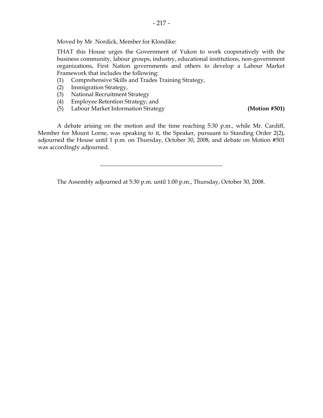Moved by Mr. Nordick, Member for Klondike:

 THAT this House urges the Government of Yukon to work cooperatively with the business community, labour groups, industry, educational institutions, non-government organizations, First Nation governments and others to develop a Labour Market Framework that includes the following:

- (1) Comprehensive Skills and Trades Training Strategy,
- (2) Immigration Strategy,
- (3) National Recruitment Strategy
- (4) Employee Retention Strategy; and
- (5) Labour Market Information Strategy **(Motion #501)**

 A debate arising on the motion and the time reaching 5:30 p.m., while Mr. Cardiff, Member for Mount Lorne, was speaking to it, the Speaker, pursuant to Standing Order 2(2), adjourned the House until 1 p.m. on Thursday, October 30, 2008, and debate on Motion #501 was accordingly adjourned.

The Assembly adjourned at 5:30 p.m. until 1:00 p.m., Thursday, October 30, 2008.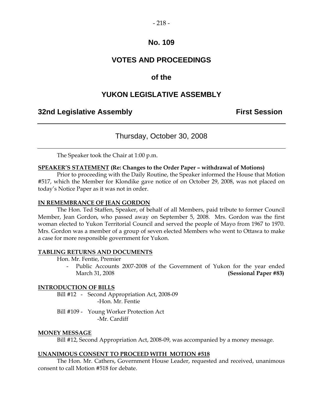#### $-218-$

### **No. 109**

### **VOTES AND PROCEEDINGS**

### **of the**

### **YUKON LEGISLATIVE ASSEMBLY**

### **32nd Legislative Assembly The Contract Session**

### Thursday, October 30, 2008

The Speaker took the Chair at 1:00 p.m.

#### **SPEAKER'S STATEMENT (Re: Changes to the Order Paper – withdrawal of Motions)**

 Prior to proceeding with the Daily Routine, the Speaker informed the House that Motion #517, which the Member for Klondike gave notice of on October 29, 2008, was not placed on today's Notice Paper as it was not in order.

#### **IN REMEMBRANCE OF JEAN GORDON**

 The Hon. Ted Staffen, Speaker, of behalf of all Members, paid tribute to former Council Member, Jean Gordon, who passed away on September 5, 2008. Mrs. Gordon was the first woman elected to Yukon Territorial Council and served the people of Mayo from 1967 to 1970. Mrs. Gordon was a member of a group of seven elected Members who went to Ottawa to make a case for more responsible government for Yukon.

#### **TABLING RETURNS AND DOCUMENTS**

Hon. Mr. Fentie, Premier

Public Accounts 2007-2008 of the Government of Yukon for the year ended March 31, 2008 **(Sessional Paper #83)** 

#### **INTRODUCTION OF BILLS**

 Bill #12 - Second Appropriation Act, 2008-09 -Hon. Mr. Fentie

 Bill #109 - Young Worker Protection Act -Mr. Cardiff

#### **MONEY MESSAGE**

Bill #12, Second Appropriation Act, 2008-09, was accompanied by a money message.

#### **UNANIMOUS CONSENT TO PROCEED WITH MOTION #518**

 The Hon. Mr. Cathers, Government House Leader, requested and received, unanimous consent to call Motion #518 for debate.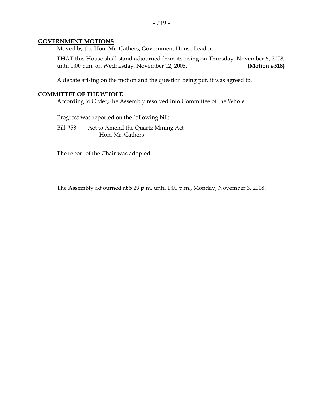#### **GOVERNMENT MOTIONS**

Moved by the Hon. Mr. Cathers, Government House Leader:

 THAT this House shall stand adjourned from its rising on Thursday, November 6, 2008, until 1:00 p.m. on Wednesday, November 12, 2008. **(Motion #518)** 

A debate arising on the motion and the question being put, it was agreed to.

#### **COMMITTEE OF THE WHOLE**

According to Order, the Assembly resolved into Committee of the Whole.

Progress was reported on the following bill:

 Bill #58 - Act to Amend the Quartz Mining Act -Hon. Mr. Cathers

The report of the Chair was adopted.

The Assembly adjourned at 5:29 p.m. until 1:00 p.m., Monday, November 3, 2008.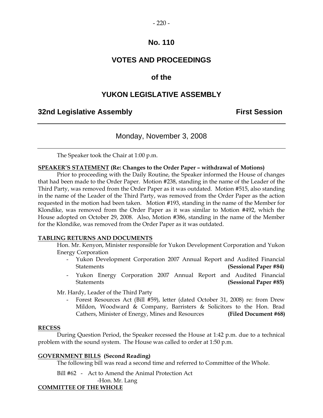### **VOTES AND PROCEEDINGS**

### **of the**

### **YUKON LEGISLATIVE ASSEMBLY**

### **32nd Legislative Assembly The Contract Session**

### Monday, November 3, 2008

The Speaker took the Chair at 1:00 p.m.

#### **SPEAKER'S STATEMENT (Re: Changes to the Order Paper – withdrawal of Motions)**

 Prior to proceeding with the Daily Routine, the Speaker informed the House of changes that had been made to the Order Paper. Motion #238, standing in the name of the Leader of the Third Party, was removed from the Order Paper as it was outdated. Motion #515, also standing in the name of the Leader of the Third Party, was removed from the Order Paper as the action requested in the motion had been taken. Motion #193, standing in the name of the Member for Klondike, was removed from the Order Paper as it was similar to Motion #492, which the House adopted on October 29, 2008. Also, Motion #386, standing in the name of the Member for the Klondike, was removed from the Order Paper as it was outdated.

#### **TABLING RETURNS AND DOCUMENTS**

 Hon. Mr. Kenyon, Minister responsible for Yukon Development Corporation and Yukon Energy Corporation

- Yukon Development Corporation 2007 Annual Report and Audited Financial Statements **(Sessional Paper #84)**
- Yukon Energy Corporation 2007 Annual Report and Audited Financial Statements **(Sessional Paper #85)**

Mr. Hardy, Leader of the Third Party

 - Forest Resources Act (Bill #59), letter (dated October 31, 2008) re: from Drew Mildon, Woodward & Company, Barristers & Solicitors to the Hon. Brad Cathers, Minister of Energy, Mines and Resources **(Filed Document #68)** 

#### **RECESS**

 During Question Period, the Speaker recessed the House at 1:42 p.m. due to a technical problem with the sound system. The House was called to order at 1:50 p.m.

#### **GOVERNMENT BILLS (Second Reading)**

The following bill was read a second time and referred to Committee of the Whole.

Bill #62 - Act to Amend the Animal Protection Act

-Hon. Mr. Lang

#### **COMMITTEE OF THE WHOLE**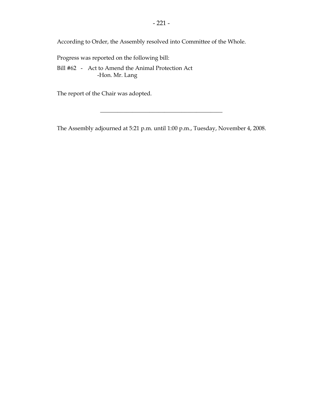According to Order, the Assembly resolved into Committee of the Whole.

Progress was reported on the following bill:

 Bill #62 - Act to Amend the Animal Protection Act -Hon. Mr. Lang

The report of the Chair was adopted.

The Assembly adjourned at 5:21 p.m. until 1:00 p.m., Tuesday, November 4, 2008.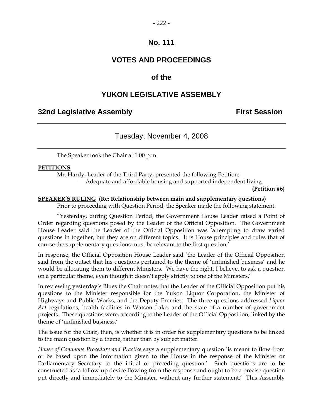### **VOTES AND PROCEEDINGS**

### **of the**

### **YUKON LEGISLATIVE ASSEMBLY**

### **32nd Legislative Assembly First Session**

### Tuesday, November 4, 2008

The Speaker took the Chair at 1:00 p.m.

#### **PETITIONS**

Mr. Hardy, Leader of the Third Party, presented the following Petition:

- Adequate and affordable housing and supported independent living

**(Petition #6)** 

#### **SPEAKER'S RULING (Re: Relationship between main and supplementary questions)**

Prior to proceeding with Question Period, the Speaker made the following statement:

"Yesterday, during Question Period, the Government House Leader raised a Point of Order regarding questions posed by the Leader of the Official Opposition. The Government House Leader said the Leader of the Official Opposition was 'attempting to draw varied questions in together, but they are on different topics. It is House principles and rules that of course the supplementary questions must be relevant to the first question.'

In response, the Official Opposition House Leader said 'the Leader of the Official Opposition said from the outset that his questions pertained to the theme of 'unfinished business' and he would be allocating them to different Ministers. We have the right, I believe, to ask a question on a particular theme, even though it doesn't apply strictly to one of the Ministers.'

In reviewing yesterday's Blues the Chair notes that the Leader of the Official Opposition put his questions to the Minister responsible for the Yukon Liquor Corporation, the Minister of Highways and Public Works, and the Deputy Premier. The three questions addressed *Liquor Act* regulations, health facilities in Watson Lake, and the state of a number of government projects. These questions were, according to the Leader of the Official Opposition, linked by the theme of 'unfinished business.'

The issue for the Chair, then, is whether it is in order for supplementary questions to be linked to the main question by a theme, rather than by subject matter.

*House of Commons Procedure and Practice* says a supplementary question 'is meant to flow from or be based upon the information given to the House in the response of the Minister or Parliamentary Secretary to the initial or preceding question.' Such questions are to be constructed as 'a follow-up device flowing from the response and ought to be a precise question put directly and immediately to the Minister, without any further statement.' This Assembly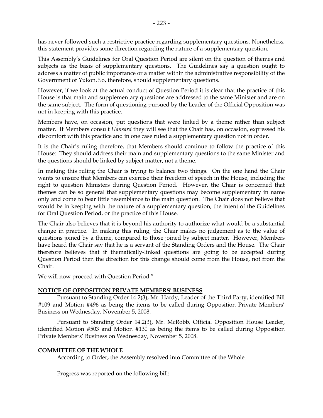has never followed such a restrictive practice regarding supplementary questions. Nonetheless, this statement provides some direction regarding the nature of a supplementary question.

This Assembly's Guidelines for Oral Question Period are silent on the question of themes and subjects as the basis of supplementary questions. The Guidelines say a question ought to address a matter of public importance or a matter within the administrative responsibility of the Government of Yukon. So, therefore, should supplementary questions.

However, if we look at the actual conduct of Question Period it is clear that the practice of this House is that main and supplementary questions are addressed to the same Minister and are on the same subject. The form of questioning pursued by the Leader of the Official Opposition was not in keeping with this practice.

Members have, on occasion, put questions that were linked by a theme rather than subject matter. If Members consult *Hansard* they will see that the Chair has, on occasion, expressed his discomfort with this practice and in one case ruled a supplementary question not in order.

It is the Chair's ruling therefore, that Members should continue to follow the practice of this House: They should address their main and supplementary questions to the same Minister and the questions should be linked by subject matter, not a theme.

In making this ruling the Chair is trying to balance two things. On the one hand the Chair wants to ensure that Members can exercise their freedom of speech in the House, including the right to question Ministers during Question Period. However, the Chair is concerned that themes can be so general that supplementary questions may become supplementary in name only and come to bear little resemblance to the main question. The Chair does not believe that would be in keeping with the nature of a supplementary question, the intent of the Guidelines for Oral Question Period, or the practice of this House.

The Chair also believes that it is beyond his authority to authorize what would be a substantial change in practice. In making this ruling, the Chair makes no judgement as to the value of questions joined by a theme, compared to those joined by subject matter. However, Members have heard the Chair say that he is a servant of the Standing Orders and the House. The Chair therefore believes that if thematically-linked questions are going to be accepted during Question Period then the direction for this change should come from the House, not from the Chair.

We will now proceed with Question Period."

#### **NOTICE OF OPPOSITION PRIVATE MEMBERS' BUSINESS**

 Pursuant to Standing Order 14.2(3), Mr. Hardy, Leader of the Third Party, identified Bill #109 and Motion #496 as being the items to be called during Opposition Private Members' Business on Wednesday, November 5, 2008.

 Pursuant to Standing Order 14.2(3), Mr. McRobb, Official Opposition House Leader, identified Motion #503 and Motion #130 as being the items to be called during Opposition Private Members' Business on Wednesday, November 5, 2008.

#### **COMMITTEE OF THE WHOLE**

According to Order, the Assembly resolved into Committee of the Whole.

Progress was reported on the following bill: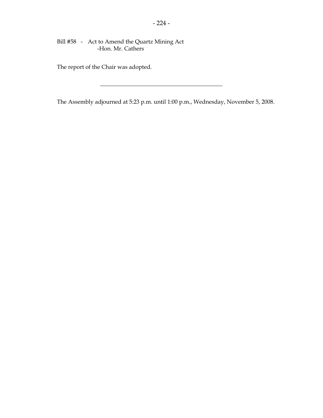Bill #58 - Act to Amend the Quartz Mining Act -Hon. Mr. Cathers

The report of the Chair was adopted.

The Assembly adjourned at 5:23 p.m. until 1:00 p.m., Wednesday, November 5, 2008.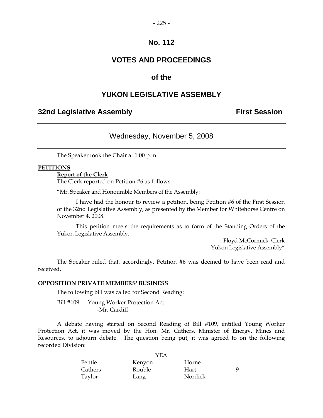### **VOTES AND PROCEEDINGS**

### **of the**

### **YUKON LEGISLATIVE ASSEMBLY**

### **32nd Legislative Assembly The Contract Session**

### Wednesday, November 5, 2008

The Speaker took the Chair at 1:00 p.m.

#### **PETITIONS**

#### **Report of the Clerk**

The Clerk reported on Petition #6 as follows:

"Mr. Speaker and Honourable Members of the Assembly:

 I have had the honour to review a petition, being Petition #6 of the First Session of the 32nd Legislative Assembly, as presented by the Member for Whitehorse Centre on November 4, 2008.

 This petition meets the requirements as to form of the Standing Orders of the Yukon Legislative Assembly.

> Floyd McCormick, Clerk Yukon Legislative Assembly"

 The Speaker ruled that, accordingly, Petition #6 was deemed to have been read and received.

#### **OPPOSITION PRIVATE MEMBERS' BUSINESS**

The following bill was called for Second Reading:

 Bill #109 - Young Worker Protection Act -Mr. Cardiff

 A debate having started on Second Reading of Bill #109, entitled Young Worker Protection Act, it was moved by the Hon. Mr. Cathers, Minister of Energy, Mines and Resources, to adjourn debate. The question being put, it was agreed to on the following recorded Division:

|         | <b>YEA</b> |         |   |
|---------|------------|---------|---|
| Fentie  | Kenyon     | Horne   |   |
| Cathers | Rouble     | Hart    | Q |
| Taylor  | Lang       | Nordick |   |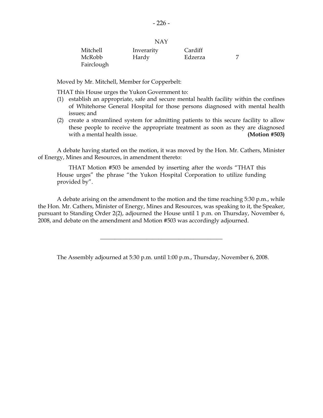| Mitchell   | Inverarity | Cardiff |  |
|------------|------------|---------|--|
| McRobb     | Hardy      | Edzerza |  |
| Fairclough |            |         |  |

Moved by Mr. Mitchell, Member for Copperbelt:

THAT this House urges the Yukon Government to:

- (1) establish an appropriate, safe and secure mental health facility within the confines of Whitehorse General Hospital for those persons diagnosed with mental health issues; and
- (2) create a streamlined system for admitting patients to this secure facility to allow these people to receive the appropriate treatment as soon as they are diagnosed with a mental health issue. **(Motion #503)**

 A debate having started on the motion, it was moved by the Hon. Mr. Cathers, Minister of Energy, Mines and Resources, in amendment thereto:

 THAT Motion #503 be amended by inserting after the words "THAT this House urges" the phrase "the Yukon Hospital Corporation to utilize funding provided by".

 A debate arising on the amendment to the motion and the time reaching 5:30 p.m., while the Hon. Mr. Cathers, Minister of Energy, Mines and Resources, was speaking to it, the Speaker, pursuant to Standing Order 2(2), adjourned the House until 1 p.m. on Thursday, November 6, 2008, and debate on the amendment and Motion #503 was accordingly adjourned.

The Assembly adjourned at 5:30 p.m. until 1:00 p.m., Thursday, November 6, 2008.

\_\_\_\_\_\_\_\_\_\_\_\_\_\_\_\_\_\_\_\_\_\_\_\_\_\_\_\_\_\_\_\_\_\_\_\_\_\_\_\_\_\_

NAY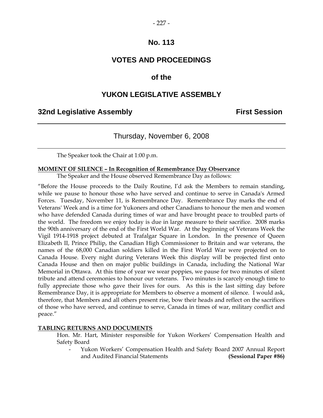### **VOTES AND PROCEEDINGS**

### **of the**

### **YUKON LEGISLATIVE ASSEMBLY**

### **32nd Legislative Assembly First Session**

### Thursday, November 6, 2008

The Speaker took the Chair at 1:00 p.m.

#### **MOMENT OF SILENCE – In Recognition of Remembrance Day Observance**

The Speaker and the House observed Remembrance Day as follows:

"Before the House proceeds to the Daily Routine, I'd ask the Members to remain standing, while we pause to honour those who have served and continue to serve in Canada's Armed Forces. Tuesday, November 11, is Remembrance Day. Remembrance Day marks the end of Veterans' Week and is a time for Yukoners and other Canadians to honour the men and women who have defended Canada during times of war and have brought peace to troubled parts of the world. The freedom we enjoy today is due in large measure to their sacrifice. 2008 marks the 90th anniversary of the end of the First World War. At the beginning of Veterans Week the Vigil 1914-1918 project debuted at Trafalgar Square in London. In the presence of Queen Elizabeth II, Prince Philip, the Canadian High Commissioner to Britain and war veterans, the names of the 68,000 Canadian soldiers killed in the First World War were projected on to Canada House. Every night during Veterans Week this display will be projected first onto Canada House and then on major public buildings in Canada, including the National War Memorial in Ottawa. At this time of year we wear poppies, we pause for two minutes of silent tribute and attend ceremonies to honour our veterans. Two minutes is scarcely enough time to fully appreciate those who gave their lives for ours. As this is the last sitting day before Remembrance Day, it is appropriate for Members to observe a moment of silence. I would ask, therefore, that Members and all others present rise, bow their heads and reflect on the sacrifices of those who have served, and continue to serve, Canada in times of war, military conflict and peace."

#### **TABLING RETURNS AND DOCUMENTS**

 Hon. Mr. Hart, Minister responsible for Yukon Workers' Compensation Health and Safety Board

 - Yukon Workers' Compensation Health and Safety Board 2007 Annual Report and Audited Financial Statements **(Sessional Paper #86)**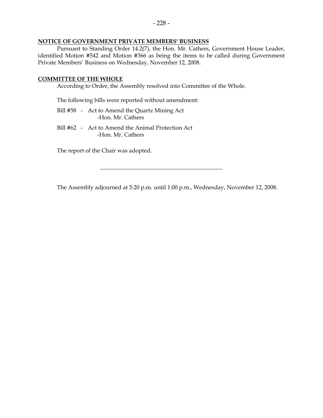#### **NOTICE OF GOVERNMENT PRIVATE MEMBERS' BUSINESS**

 Pursuant to Standing Order 14.2(7), the Hon. Mr. Cathers, Government House Leader, identified Motion #542 and Motion #366 as being the items to be called during Government Private Members' Business on Wednesday, November 12, 2008.

#### **COMMITTEE OF THE WHOLE**

According to Order, the Assembly resolved into Committee of the Whole.

The following bills were reported without amendment:

- Bill #58 Act to Amend the Quartz Mining Act -Hon. Mr. Cathers
- Bill #62 Act to Amend the Animal Protection Act -Hon. Mr. Cathers

The report of the Chair was adopted.

The Assembly adjourned at 5:20 p.m. until 1:00 p.m., Wednesday, November 12, 2008.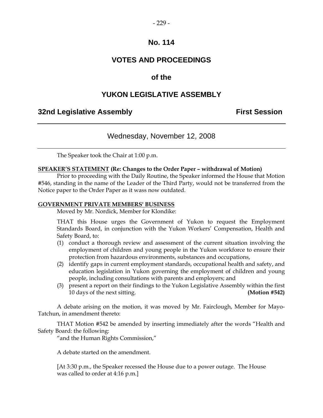### **VOTES AND PROCEEDINGS**

### **of the**

### **YUKON LEGISLATIVE ASSEMBLY**

### **32nd Legislative Assembly First Session**

### Wednesday, November 12, 2008

The Speaker took the Chair at 1:00 p.m.

#### **SPEAKER'S STATEMENT (Re: Changes to the Order Paper – withdrawal of Motion)**

 Prior to proceeding with the Daily Routine, the Speaker informed the House that Motion #546, standing in the name of the Leader of the Third Party, would not be transferred from the Notice paper to the Order Paper as it wass now outdated.

#### **GOVERNMENT PRIVATE MEMBERS' BUSINESS**

Moved by Mr. Nordick, Member for Klondike:

 THAT this House urges the Government of Yukon to request the Employment Standards Board, in conjunction with the Yukon Workers' Compensation, Health and Safety Board, to:

- (1) conduct a thorough review and assessment of the current situation involving the employment of children and young people in the Yukon workforce to ensure their protection from hazardous environments, substances and occupations,
- (2) identify gaps in current employment standards, occupational health and safety, and education legislation in Yukon governing the employment of children and young people, including consultations with parents and employers; and
- (3) present a report on their findings to the Yukon Legislative Assembly within the first 10 days of the next sitting. **(Motion #542)**

 A debate arising on the motion, it was moved by Mr. Fairclough, Member for Mayo-Tatchun, in amendment thereto:

 THAT Motion #542 be amended by inserting immediately after the words "Health and Safety Board: the following:

"and the Human Rights Commission,"

A debate started on the amendment.

 [At 3:30 p.m., the Speaker recessed the House due to a power outage. The House was called to order at 4:16 p.m.]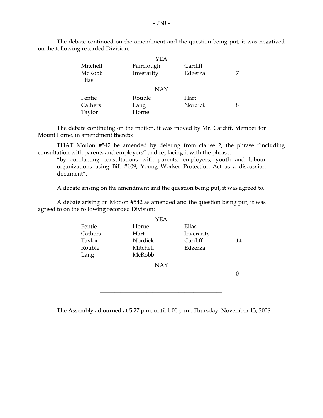|                 | YEA        |         |  |
|-----------------|------------|---------|--|
| Mitchell        | Fairclough | Cardiff |  |
| McRobb<br>Elias | Inverarity | Edzerza |  |
|                 | <b>NAY</b> |         |  |
| Fentie          | Rouble     | Hart    |  |
| Cathers         | Lang       | Nordick |  |
| Taylor          | Horne      |         |  |

 The debate continued on the amendment and the question being put, it was negatived on the following recorded Division:

 The debate continuing on the motion, it was moved by Mr. Cardiff, Member for Mount Lorne, in amendment thereto:

 THAT Motion #542 be amended by deleting from clause 2, the phrase "including consultation with parents and employers" and replacing it with the phrase:

 "by conducting consultations with parents, employers, youth and labour organizations using Bill #109, Young Worker Protection Act as a discussion document".

A debate arising on the amendment and the question being put, it was agreed to.

 A debate arising on Motion #542 as amended and the question being put, it was agreed to on the following recorded Division:

|         | YEA             |            |    |
|---------|-----------------|------------|----|
| Fentie  | Horne           | Elias      |    |
| Cathers | Hart            | Inverarity |    |
| Taylor  | Nordick         | Cardiff    | 14 |
| Rouble  | <b>Mitchell</b> | Edzerza    |    |
| Lang    | McRobb          |            |    |
|         | NAY             |            |    |

0

The Assembly adjourned at 5:27 p.m. until 1:00 p.m., Thursday, November 13, 2008.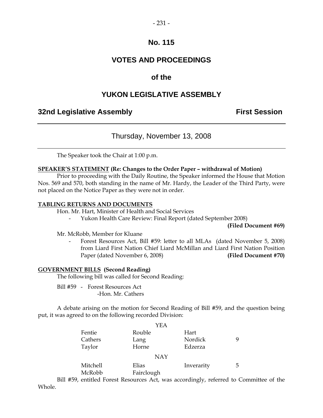### **VOTES AND PROCEEDINGS**

### **of the**

### **YUKON LEGISLATIVE ASSEMBLY**

### **32nd Legislative Assembly The Contract Session**

### Thursday, November 13, 2008

The Speaker took the Chair at 1:00 p.m.

#### **SPEAKER'S STATEMENT (Re: Changes to the Order Paper – withdrawal of Motion)**

 Prior to proceeding with the Daily Routine, the Speaker informed the House that Motion Nos. 569 and 570, both standing in the name of Mr. Hardy, the Leader of the Third Party, were not placed on the Notice Paper as they were not in order.

#### **TABLING RETURNS AND DOCUMENTS**

Hon. Mr. Hart, Minister of Health and Social Services

- Yukon Health Care Review: Final Report (dated September 2008)

**(Filed Document #69)** 

Mr. McRobb, Member for Kluane

Forest Resources Act, Bill #59: letter to all MLAs (dated November 5, 2008) from Liard First Nation Chief Liard McMillan and Liard First Nation Position Paper (dated November 6, 2008) **(Filed Document #70)**

#### **GOVERNMENT BILLS (Second Reading)**

The following bill was called for Second Reading:

 Bill #59 - Forest Resources Act -Hon. Mr. Cathers

 A debate arising on the motion for Second Reading of Bill #59, and the question being put, it was agreed to on the following recorded Division:

|          | YEA        |            |   |
|----------|------------|------------|---|
| Fentie   | Rouble     | Hart       |   |
| Cathers  | Lang       | Nordick    | 9 |
| Taylor   | Horne      | Edzerza    |   |
|          | <b>NAY</b> |            |   |
| Mitchell | Elias      | Inverarity | 5 |
| McRobb   | Fairclough |            |   |

 Bill #59, entitled Forest Resources Act, was accordingly, referred to Committee of the Whole.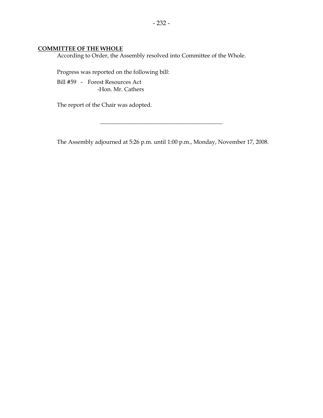### **COMMITTEE OF THE WHOLE**

According to Order, the Assembly resolved into Committee of the Whole.

Progress was reported on the following bill:

 Bill #59 - Forest Resources Act -Hon. Mr. Cathers

The report of the Chair was adopted.

The Assembly adjourned at 5:26 p.m. until 1:00 p.m., Monday, November 17, 2008.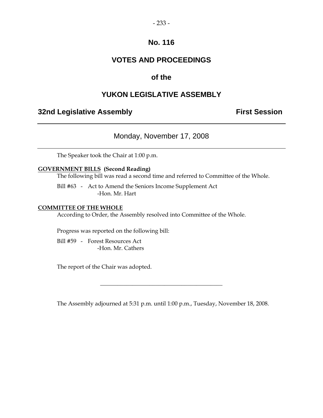### **VOTES AND PROCEEDINGS**

### **of the**

### **YUKON LEGISLATIVE ASSEMBLY**

### **32nd Legislative Assembly The Contract Session**

Monday, November 17, 2008

The Speaker took the Chair at 1:00 p.m.

#### **GOVERNMENT BILLS (Second Reading)**

The following bill was read a second time and referred to Committee of the Whole.

 Bill #63 - Act to Amend the Seniors Income Supplement Act -Hon. Mr. Hart

#### **COMMITTEE OF THE WHOLE**

According to Order, the Assembly resolved into Committee of the Whole.

Progress was reported on the following bill:

 Bill #59 - Forest Resources Act -Hon. Mr. Cathers

The report of the Chair was adopted.

The Assembly adjourned at 5:31 p.m. until 1:00 p.m., Tuesday, November 18, 2008.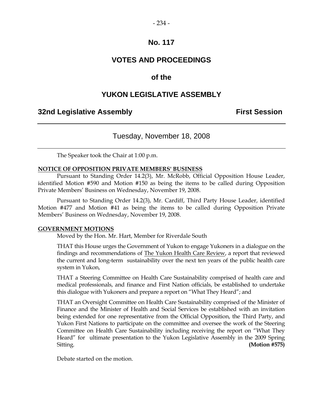### **VOTES AND PROCEEDINGS**

### **of the**

### **YUKON LEGISLATIVE ASSEMBLY**

### **32nd Legislative Assembly First Session**

### Tuesday, November 18, 2008

The Speaker took the Chair at 1:00 p.m.

#### **NOTICE OF OPPOSITION PRIVATE MEMBERS' BUSINESS**

 Pursuant to Standing Order 14.2(3), Mr. McRobb, Official Opposition House Leader, identified Motion #590 and Motion #150 as being the items to be called during Opposition Private Members' Business on Wednesday, November 19, 2008.

 Pursuant to Standing Order 14.2(3), Mr. Cardiff, Third Party House Leader, identified Motion #477 and Motion #41 as being the items to be called during Opposition Private Members' Business on Wednesday, November 19, 2008.

#### **GOVERNMENT MOTIONS**

Moved by the Hon. Mr. Hart, Member for Riverdale South

 THAT this House urges the Government of Yukon to engage Yukoners in a dialogue on the findings and recommendations of The Yukon Health Care Review, a report that reviewed the current and long-term sustainability over the next ten years of the public health care system in Yukon,

 THAT a Steering Committee on Health Care Sustainability comprised of health care and medical professionals, and finance and First Nation officials, be established to undertake this dialogue with Yukoners and prepare a report on "What They Heard"; and

 THAT an Oversight Committee on Health Care Sustainability comprised of the Minister of Finance and the Minister of Health and Social Services be established with an invitation being extended for one representative from the Official Opposition, the Third Party, and Yukon First Nations to participate on the committee and oversee the work of the Steering Committee on Health Care Sustainability including receiving the report on "What They Heard" for ultimate presentation to the Yukon Legislative Assembly in the 2009 Spring Sitting. **(Motion #575)** 

Debate started on the motion.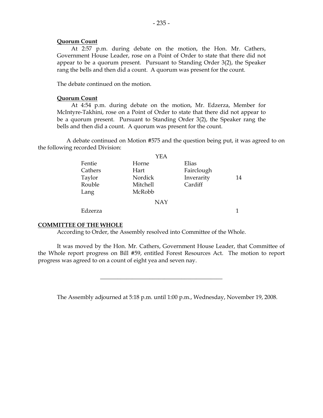#### **Quorum Count**

 At 2:57 p.m. during debate on the motion, the Hon. Mr. Cathers, Government House Leader, rose on a Point of Order to state that there did not appear to be a quorum present. Pursuant to Standing Order 3(2), the Speaker rang the bells and then did a count. A quorum was present for the count.

The debate continued on the motion.

#### **Quorum Count**

 At 4:54 p.m. during debate on the motion, Mr. Edzerza, Member for McIntyre-Takhini, rose on a Point of Order to state that there did not appear to be a quorum present. Pursuant to Standing Order 3(2), the Speaker rang the bells and then did a count. A quorum was present for the count.

 A debate continued on Motion #575 and the question being put, it was agreed to on the following recorded Division:

|         | YEA        |            |    |
|---------|------------|------------|----|
| Fentie  | Horne      | Elias      |    |
| Cathers | Hart       | Fairclough |    |
| Taylor  | Nordick    | Inverarity | 14 |
| Rouble  | Mitchell   | Cardiff    |    |
| Lang    | McRobb     |            |    |
|         | <b>NAY</b> |            |    |
| Edzerza |            |            | 1  |

#### **COMMITTEE OF THE WHOLE**

According to Order, the Assembly resolved into Committee of the Whole.

 It was moved by the Hon. Mr. Cathers, Government House Leader, that Committee of the Whole report progress on Bill #59, entitled Forest Resources Act. The motion to report progress was agreed to on a count of eight yea and seven nay.

\_\_\_\_\_\_\_\_\_\_\_\_\_\_\_\_\_\_\_\_\_\_\_\_\_\_\_\_\_\_\_\_\_\_\_\_\_\_\_\_\_\_

The Assembly adjourned at 5:18 p.m. until 1:00 p.m., Wednesday, November 19, 2008.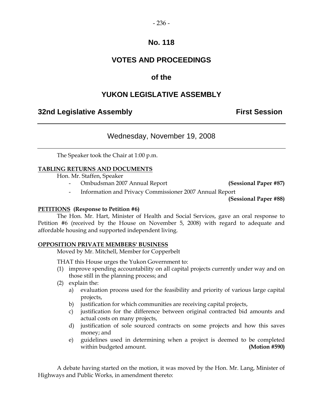## **VOTES AND PROCEEDINGS**

## **of the**

## **YUKON LEGISLATIVE ASSEMBLY**

### **32nd Legislative Assembly The Contract Session**

### Wednesday, November 19, 2008

The Speaker took the Chair at 1:00 p.m.

### **TABLING RETURNS AND DOCUMENTS**

Hon. Mr. Staffen, Speaker

- Ombudsman 2007 Annual Report **(Sessional Paper #87)** 

- Information and Privacy Commissioner 2007 Annual Report

**(Sessional Paper #88)**

#### **PETITIONS (Response to Petition #6)**

 The Hon. Mr. Hart, Minister of Health and Social Services, gave an oral response to Petition #6 (received by the House on November 5, 2008) with regard to adequate and affordable housing and supported independent living.

#### **OPPOSITION PRIVATE MEMBERS' BUSINESS**

Moved by Mr. Mitchell, Member for Copperbelt

THAT this House urges the Yukon Government to:

- (1) improve spending accountability on all capital projects currently under way and on those still in the planning process; and
- (2) explain the:
	- a) evaluation process used for the feasibility and priority of various large capital projects,
	- b) justification for which communities are receiving capital projects,
	- c) justification for the difference between original contracted bid amounts and actual costs on many projects,
	- d) justification of sole sourced contracts on some projects and how this saves money; and
	- e) guidelines used in determining when a project is deemed to be completed within budgeted amount. **(Motion #590)**

 A debate having started on the motion, it was moved by the Hon. Mr. Lang, Minister of Highways and Public Works, in amendment thereto: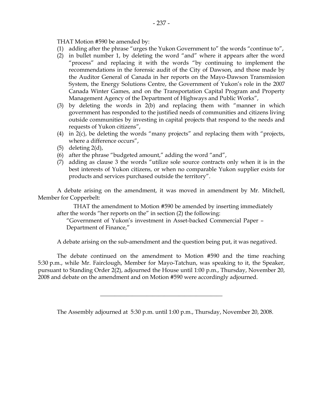THAT Motion #590 be amended by:

- (1) adding after the phrase "urges the Yukon Government to" the words "continue to",
- (2) in bullet number 1, by deleting the word "and" where it appears after the word "process" and replacing it with the words "by continuing to implement the recommendations in the forensic audit of the City of Dawson, and those made by the Auditor General of Canada in her reports on the Mayo-Dawson Transmission System, the Energy Solutions Centre, the Government of Yukon's role in the 2007 Canada Winter Games, and on the Transportation Capital Program and Property Management Agency of the Department of Highways and Public Works",
- (3) by deleting the words in 2(b) and replacing them with "manner in which government has responded to the justified needs of communities and citizens living outside communities by investing in capital projects that respond to the needs and requests of Yukon citizens",
- (4) in 2(c), be deleting the words "many projects" and replacing them with "projects, where a difference occurs",
- (5) deleting  $2(d)$ ,
- (6) after the phrase "budgeted amount," adding the word "and",
- (7) adding as clause 3 the words "utilize sole source contracts only when it is in the best interests of Yukon citizens, or when no comparable Yukon supplier exists for products and services purchased outside the territory".

 A debate arising on the amendment, it was moved in amendment by Mr. Mitchell, Member for Copperbelt:

 THAT the amendment to Motion #590 be amended by inserting immediately after the words "her reports on the" in section (2) the following:

 "Government of Yukon's investment in Asset-backed Commercial Paper – Department of Finance,"

A debate arising on the sub-amendment and the question being put, it was negatived.

 The debate continued on the amendment to Motion #590 and the time reaching 5:30 p.m., while Mr. Fairclough, Member for Mayo-Tatchun, was speaking to it, the Speaker, pursuant to Standing Order 2(2), adjourned the House until 1:00 p.m., Thursday, November 20, 2008 and debate on the amendment and on Motion #590 were accordingly adjourned.

\_\_\_\_\_\_\_\_\_\_\_\_\_\_\_\_\_\_\_\_\_\_\_\_\_\_\_\_\_\_\_\_\_\_\_\_\_\_\_\_\_\_

The Assembly adjourned at 5:30 p.m. until 1:00 p.m., Thursday, November 20, 2008.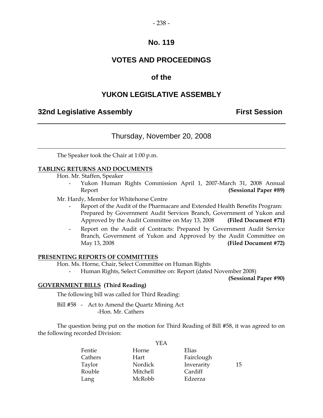### **VOTES AND PROCEEDINGS**

### **of the**

### **YUKON LEGISLATIVE ASSEMBLY**

### **32nd Legislative Assembly The Contract Session**

### Thursday, November 20, 2008

The Speaker took the Chair at 1:00 p.m.

#### **TABLING RETURNS AND DOCUMENTS**

Hon. Mr. Staffen, Speaker

 - Yukon Human Rights Commission April 1, 2007-March 31, 2008 Annual Report **(Sessional Paper #89)** 

Mr. Hardy, Member for Whitehorse Centre

- Report of the Audit of the Pharmacare and Extended Health Benefits Program: Prepared by Government Audit Services Branch, Government of Yukon and Approved by the Audit Committee on May 13, 2008 **(Filed Document #71)**
- Report on the Audit of Contracts: Prepared by Government Audit Service Branch, Government of Yukon and Approved by the Audit Committee on May 13, 2008 **(Filed Document #72)**

#### **PRESENTING REPORTS OF COMMITTEES**

Hon. Ms. Horne, Chair, Select Committee on Human Rights

Human Rights, Select Committee on: Report (dated November 2008)

**(Sessional Paper #90)** 

#### **GOVERNMENT BILLS (Third Reading)**

The following bill was called for Third Reading:

 Bill #58 - Act to Amend the Quartz Mining Act -Hon. Mr. Cathers

 The question being put on the motion for Third Reading of Bill #58, it was agreed to on the following recorded Division:

| Horne    | Elias      |    |
|----------|------------|----|
| Hart     | Fairclough |    |
| Nordick  | Inverarity | 15 |
| Mitchell | Cardiff    |    |
| McRobb   | Edzerza    |    |
|          | I EA       |    |

## $V<sub>E</sub>$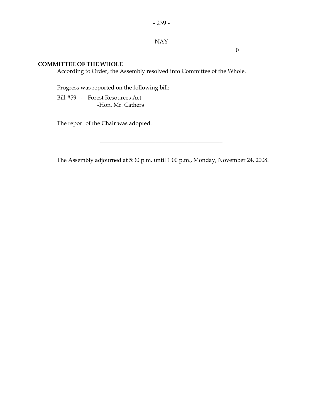#### NAY

0

#### **COMMITTEE OF THE WHOLE**

According to Order, the Assembly resolved into Committee of the Whole.

Progress was reported on the following bill:

 Bill #59 - Forest Resources Act -Hon. Mr. Cathers

The report of the Chair was adopted.

The Assembly adjourned at 5:30 p.m. until 1:00 p.m., Monday, November 24, 2008.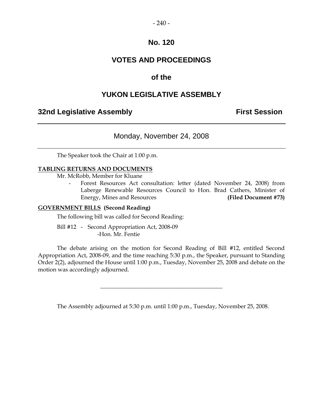### **VOTES AND PROCEEDINGS**

### **of the**

### **YUKON LEGISLATIVE ASSEMBLY**

### **32nd Legislative Assembly First Session**

### Monday, November 24, 2008

The Speaker took the Chair at 1:00 p.m.

#### **TABLING RETURNS AND DOCUMENTS**

Mr. McRobb, Member for Kluane

 - Forest Resources Act consultation: letter (dated November 24, 2008) from Laberge Renewable Resources Council to Hon. Brad Cathers, Minister of Energy, Mines and Resources **(Filed Document #73)** 

#### **GOVERNMENT BILLS (Second Reading)**

The following bill was called for Second Reading:

 Bill #12 - Second Appropriation Act, 2008-09 -Hon. Mr. Fentie

 The debate arising on the motion for Second Reading of Bill #12, entitled Second Appropriation Act, 2008-09, and the time reaching 5:30 p.m., the Speaker, pursuant to Standing Order 2(2), adjourned the House until 1:00 p.m., Tuesday, November 25, 2008 and debate on the motion was accordingly adjourned.

The Assembly adjourned at 5:30 p.m. until 1:00 p.m., Tuesday, November 25, 2008.

 $\overline{\phantom{a}}$  , and the set of the set of the set of the set of the set of the set of the set of the set of the set of the set of the set of the set of the set of the set of the set of the set of the set of the set of the s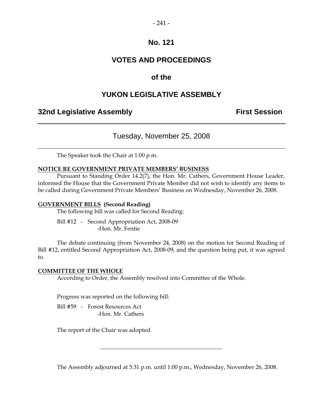### **VOTES AND PROCEEDINGS**

### **of the**

### **YUKON LEGISLATIVE ASSEMBLY**

### **32nd Legislative Assembly First Session**

### Tuesday, November 25, 2008

The Speaker took the Chair at 1:00 p.m.

#### **NOTICE RE GOVERNMENT PRIVATE MEMBERS' BUSINESS**

 Pursuant to Standing Order 14.2(7), the Hon. Mr. Cathers, Government House Leader, informed the House that the Government Private Member did not wish to identify any items to be called during Government Private Members' Business on Wednesday, November 26, 2008.

#### **GOVERNMENT BILLS (Second Reading)**

The following bill was called for Second Reading:

 Bill #12 - Second Appropriation Act, 2008-09 -Hon. Mr. Fentie

 The debate continuing (from November 24, 2008) on the motion for Second Reading of Bill #12, entitled Second Appropriation Act, 2008-09, and the question being put, it was agreed to.

#### **COMMITTEE OF THE WHOLE**

According to Order, the Assembly resolved into Committee of the Whole.

Progress was reported on the following bill:

 Bill #59 - Forest Resources Act -Hon. Mr. Cathers

The report of the Chair was adopted.

The Assembly adjourned at 5:31 p.m. until 1:00 p.m., Wednesday, November 26, 2008.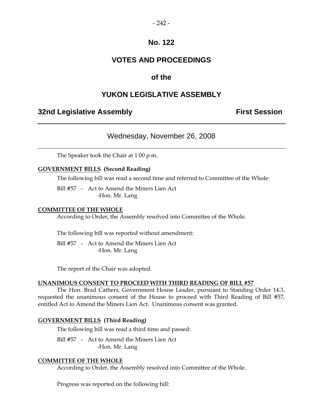### **VOTES AND PROCEEDINGS**

### **of the**

### **YUKON LEGISLATIVE ASSEMBLY**

### **32nd Legislative Assembly First Session**

### Wednesday, November 26, 2008

The Speaker took the Chair at 1:00 p.m.

#### **GOVERNMENT BILLS (Second Reading)**

The following bill was read a second time and referred to Committee of the Whole:

 Bill #57 - Act to Amend the Miners Lien Act -Hon. Mr. Lang

#### **COMMITTEE OF THE WHOLE**

According to Order, the Assembly resolved into Committee of the Whole.

The following bill was reported without amendment:

 Bill #57 - Act to Amend the Miners Lien Act -Hon. Mr. Lang

The report of the Chair was adopted.

#### **UNANIMOUS CONSENT TO PROCEED WITH THIRD READING OF BILL #57**

 The Hon. Brad Cathers, Government House Leader, pursuant to Standing Order 14.3, requested the unanimous consent of the House to proceed with Third Reading of Bill #57, entitled Act to Amend the Miners Lien Act. Unanimous consent was granted.

#### **GOVERNMENT BILLS (Third Reading)**

The following bill was read a third time and passed:

 Bill #57 - Act to Amend the Miners Lien Act -Hon. Mr. Lang

#### **COMMITTEE OF THE WHOLE**

According to Order, the Assembly resolved into Committee of the Whole.

Progress was reported on the following bill: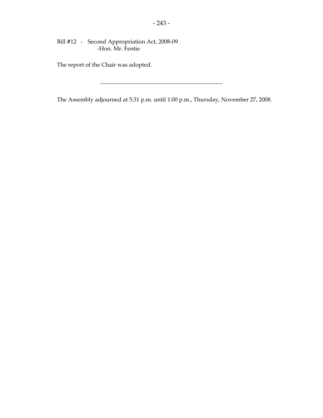Bill #12 - Second Appropriation Act, 2008-09 -Hon. Mr. Fentie

The report of the Chair was adopted.

The Assembly adjourned at 5:31 p.m. until 1:00 p.m., Thursday, November 27, 2008.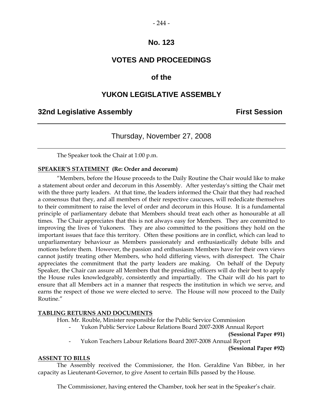### **VOTES AND PROCEEDINGS**

### **of the**

### **YUKON LEGISLATIVE ASSEMBLY**

### **32nd Legislative Assembly First Session**

### Thursday, November 27, 2008

The Speaker took the Chair at 1:00 p.m.

#### **SPEAKER'S STATEMENT (Re: Order and decorum)**

"Members, before the House proceeds to the Daily Routine the Chair would like to make a statement about order and decorum in this Assembly. After yesterday's sitting the Chair met with the three party leaders. At that time, the leaders informed the Chair that they had reached a consensus that they, and all members of their respective caucuses, will rededicate themselves to their commitment to raise the level of order and decorum in this House. It is a fundamental principle of parliamentary debate that Members should treat each other as honourable at all times. The Chair appreciates that this is not always easy for Members. They are committed to improving the lives of Yukoners. They are also committed to the positions they hold on the important issues that face this territory. Often these positions are in conflict, which can lead to unparliamentary behaviour as Members passionately and enthusiastically debate bills and motions before them. However, the passion and enthusiasm Members have for their own views cannot justify treating other Members, who hold differing views, with disrespect. The Chair appreciates the commitment that the party leaders are making. On behalf of the Deputy Speaker, the Chair can assure all Members that the presiding officers will do their best to apply the House rules knowledgeably, consistently and impartially. The Chair will do his part to ensure that all Members act in a manner that respects the institution in which we serve, and earns the respect of those we were elected to serve. The House will now proceed to the Daily Routine."

#### **TABLING RETURNS AND DOCUMENTS**

Hon. Mr. Rouble, Minister responsible for the Public Service Commission

- Yukon Public Service Labour Relations Board 2007-2008 Annual Report

**(Sessional Paper #91)** 

- Yukon Teachers Labour Relations Board 2007-2008 Annual Report

**(Sessional Paper #92)** 

#### **ASSENT TO BILLS**

 The Assembly received the Commissioner, the Hon. Geraldine Van Bibber, in her capacity as Lieutenant-Governor, to give Assent to certain Bills passed by the House.

The Commissioner, having entered the Chamber, took her seat in the Speaker's chair.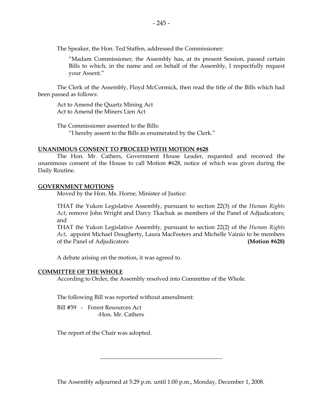The Speaker, the Hon. Ted Staffen, addressed the Commissioner:

"Madam Commissioner, the Assembly has, at its present Session, passed certain Bills to which, in the name and on behalf of the Assembly, I respectfully request your Assent."

 The Clerk of the Assembly, Floyd McCormick, then read the title of the Bills which had been passed as follows:

 Act to Amend the Quartz Mining Act Act to Amend the Miners Lien Act

 The Commissioner assented to the Bills: "I hereby assent to the Bills as enumerated by the Clerk."

#### **UNANIMOUS CONSENT TO PROCEED WITH MOTION #628**

 The Hon. Mr. Cathers, Government House Leader, requested and received the unanimous consent of the House to call Motion #628, notice of which was given during the Daily Routine.

#### **GOVERNMENT MOTIONS**

Moved by the Hon. Ms. Horne, Minister of Justice:

 THAT the Yukon Legislative Assembly, pursuant to section 22(3) of the *Human Rights Act*, remove John Wright and Darcy Tkachuk as members of the Panel of Adjudicators; and

 THAT the Yukon Legislative Assembly, pursuant to section 22(2) of the *Human Rights Act*, appoint Michael Dougherty, Laura MacFeeters and Michelle Vainio to be members of the Panel of Adjudicators **(Motion #628)**

A debate arising on the motion, it was agreed to.

#### **COMMITTEE OF THE WHOLE**

According to Order, the Assembly resolved into Committee of the Whole.

The following Bill was reported without amendment:

 Bill #59 - Forest Resources Act -Hon. Mr. Cathers

The report of the Chair was adopted.

The Assembly adjourned at 5:29 p.m. until 1:00 p.m., Monday, December 1, 2008.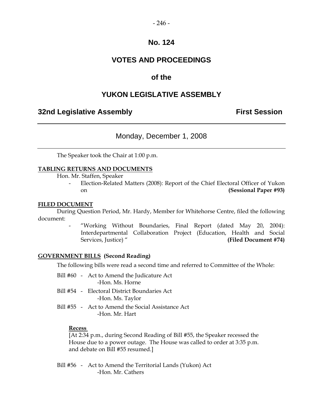## **VOTES AND PROCEEDINGS**

## **of the**

## **YUKON LEGISLATIVE ASSEMBLY**

## **32nd Legislative Assembly The Contract Session**

## Monday, December 1, 2008

The Speaker took the Chair at 1:00 p.m.

#### **TABLING RETURNS AND DOCUMENTS**

Hon. Mr. Staffen, Speaker

Election-Related Matters (2008): Report of the Chief Electoral Officer of Yukon on **(Sessional Paper #93)** 

#### **FILED DOCUMENT**

 During Question Period, Mr. Hardy, Member for Whitehorse Centre, filed the following document:

> "Working Without Boundaries, Final Report (dated May 20, 2004): Interdepartmental Collaboration Project (Education, Health and Social Services, Justice) " **(Filed Document #74)**

#### **GOVERNMENT BILLS (Second Reading)**

The following bills were read a second time and referred to Committee of the Whole:

- Bill #60 Act to Amend the Judicature Act -Hon. Ms. Horne
- Bill #54 Electoral District Boundaries Act -Hon. Ms. Taylor
- Bill #55 Act to Amend the Social Assistance Act -Hon. Mr. Hart

#### **Recess**

 [At 2:34 p.m., during Second Reading of Bill #55, the Speaker recessed the House due to a power outage. The House was called to order at 3:35 p.m. and debate on Bill #55 resumed.]

 Bill #56 - Act to Amend the Territorial Lands (Yukon) Act -Hon. Mr. Cathers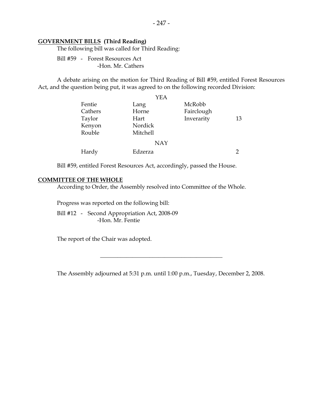#### **GOVERNMENT BILLS (Third Reading)**

The following bill was called for Third Reading:

 Bill #59 - Forest Resources Act -Hon. Mr. Cathers

 A debate arising on the motion for Third Reading of Bill #59, entitled Forest Resources Act, and the question being put, it was agreed to on the following recorded Division:

|         | YEA        |            |    |
|---------|------------|------------|----|
| Fentie  | Lang       | McRobb     |    |
| Cathers | Horne      | Fairclough |    |
| Taylor  | Hart       | Inverarity | 13 |
| Kenyon  | Nordick    |            |    |
| Rouble  | Mitchell   |            |    |
|         | <b>NAY</b> |            |    |
| Hardy   | Edzerza    |            | າ  |

Bill #59, entitled Forest Resources Act, accordingly, passed the House.

#### **COMMITTEE OF THE WHOLE**

According to Order, the Assembly resolved into Committee of the Whole.

Progress was reported on the following bill:

 Bill #12 - Second Appropriation Act, 2008-09 -Hon. Mr. Fentie

The report of the Chair was adopted.

The Assembly adjourned at 5:31 p.m. until 1:00 p.m., Tuesday, December 2, 2008.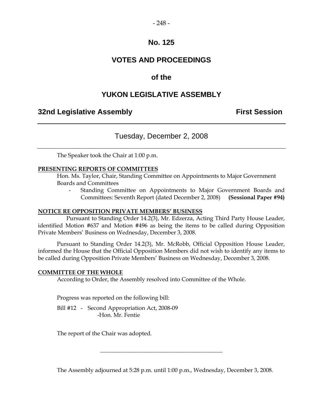## **VOTES AND PROCEEDINGS**

## **of the**

## **YUKON LEGISLATIVE ASSEMBLY**

## **32nd Legislative Assembly The Contract Session**

## Tuesday, December 2, 2008

The Speaker took the Chair at 1:00 p.m.

#### **PRESENTING REPORTS OF COMMITTEES**

 Hon. Ms. Taylor, Chair, Standing Committee on Appointments to Major Government Boards and Committees

 - Standing Committee on Appointments to Major Government Boards and Committees: Seventh Report (dated December 2, 2008) **(Sessional Paper #94)** 

#### **NOTICE RE OPPOSITION PRIVATE MEMBERS' BUSINESS**

 Pursuant to Standing Order 14.2(3), Mr. Edzerza, Acting Third Party House Leader, identified Motion #637 and Motion #496 as being the items to be called during Opposition Private Members' Business on Wednesday, December 3, 2008.

 Pursuant to Standing Order 14.2(3), Mr. McRobb, Official Opposition House Leader, informed the House that the Official Opposition Members did not wish to identify any items to be called during Opposition Private Members' Business on Wednesday, December 3, 2008.

#### **COMMITTEE OF THE WHOLE**

According to Order, the Assembly resolved into Committee of the Whole.

Progress was reported on the following bill:

 Bill #12 - Second Appropriation Act, 2008-09 -Hon. Mr. Fentie

The report of the Chair was adopted.

The Assembly adjourned at 5:28 p.m. until 1:00 p.m., Wednesday, December 3, 2008.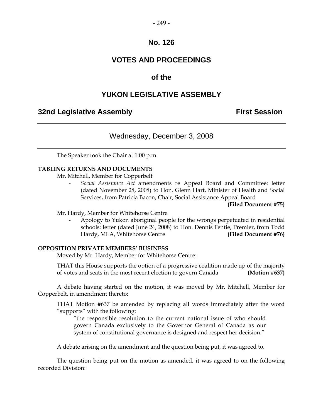## **VOTES AND PROCEEDINGS**

## **of the**

## **YUKON LEGISLATIVE ASSEMBLY**

## **32nd Legislative Assembly First Session**

## Wednesday, December 3, 2008

The Speaker took the Chair at 1:00 p.m.

#### **TABLING RETURNS AND DOCUMENTS**

Mr. Mitchell, Member for Copperbelt

 - *Social Assistance Act* amendments re Appeal Board and Committee: letter (dated November 28, 2008) to Hon. Glenn Hart, Minister of Health and Social Services, from Patricia Bacon, Chair, Social Assistance Appeal Board

**(Filed Document #75)** 

Mr. Hardy, Member for Whitehorse Centre

 - Apology to Yukon aboriginal people for the wrongs perpetuated in residential schools: letter (dated June 24, 2008) to Hon. Dennis Fentie, Premier, from Todd Hardy, MLA, Whitehorse Centre **(Filed Document #76)** 

#### **OPPOSITION PRIVATE MEMBERS' BUSINESS**

Moved by Mr. Hardy, Member for Whitehorse Centre:

 THAT this House supports the option of a progressive coalition made up of the majority of votes and seats in the most recent election to govern Canada **(Motion #637)** 

A debate having started on the motion, it was moved by Mr. Mitchell, Member for Copperbelt, in amendment thereto:

 THAT Motion #637 be amended by replacing all words immediately after the word "supports" with the following:

 "the responsible resolution to the current national issue of who should govern Canada exclusively to the Governor General of Canada as our system of constitutional governance is designed and respect her decision."

A debate arising on the amendment and the question being put, it was agreed to.

 The question being put on the motion as amended, it was agreed to on the following recorded Division: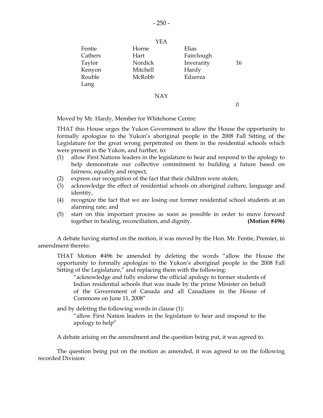|         | YEA      |            |    |
|---------|----------|------------|----|
| Fentie  | Horne    | Elias      |    |
| Cathers | Hart     | Fairclough |    |
| Taylor  | Nordick  | Inverarity | 16 |
| Kenyon  | Mitchell | Hardy      |    |
| Rouble  | McRobb   | Edzerza    |    |
| Lang    |          |            |    |
|         | NAY      |            |    |

0

Moved by Mr. Hardy, Member for Whitehorse Centre:

 THAT this House urges the Yukon Government to allow the House the opportunity to formally apologize to the Yukon's aboriginal people in the 2008 Fall Sitting of the Legislature for the great wrong perpetrated on them in the residential schools which were present in the Yukon, and further, to:

- (1) allow First Nations leaders in the legislature to hear and respond to the apology to help demonstrate our collective commitment to building a future based on fairness, equality and respect,
- (2) express our recognition of the fact that their children were stolen,
- (3) acknowledge the effect of residential schools on aboriginal culture, language and identity,
- (4) recognize the fact that we are losing our former residential school students at an alarming rate; and
- (5) start on this important process as soon as possible in order to move forward together in healing, reconciliation, and dignity. **(Motion #496)**

 A debate having started on the motion, it was moved by the Hon. Mr. Fentie, Premier, in amendment thereto:

 THAT Motion #496 be amended by deleting the words "allow the House the opportunity to formally apologize to the Yukon's aboriginal people in the 2008 Fall Sitting of the Legislature," and replacing them with the following:

 "acknowledge and fully endorse the official apology to former students of Indian residential schools that was made by the prime Minister on behalf of the Government of Canada and all Canadians in the House of Commons on June 11, 2008"

and by deleting the following words in clause (1):

 "allow First Nation leaders in the legislature to hear and respond to the apology to help"

A debate arising on the amendment and the question being put, it was agreed to.

 The question being put on the motion as amended, it was agreed to on the following recorded Division: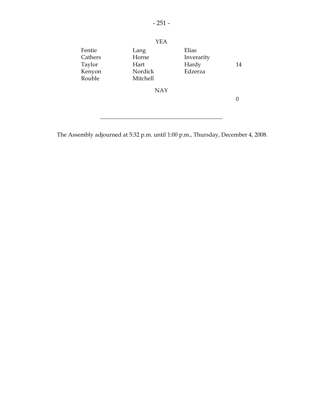

The Assembly adjourned at 5:32 p.m. until 1:00 p.m., Thursday, December 4, 2008.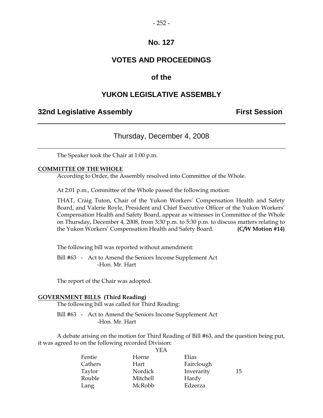## **VOTES AND PROCEEDINGS**

## **of the**

## **YUKON LEGISLATIVE ASSEMBLY**

## **32nd Legislative Assembly First Session**

## Thursday, December 4, 2008

The Speaker took the Chair at 1:00 p.m.

#### **COMMITTEE OF THE WHOLE**

According to Order, the Assembly resolved into Committee of the Whole.

At 2:01 p.m., Committee of the Whole passed the following motion:

 THAT, Craig Tuton, Chair of the Yukon Workers' Compensation Health and Safety Board, and Valerie Royle, President and Chief Executive Officer of the Yukon Workers' Compensation Health and Safety Board, appear as witnesses in Committee of the Whole on Thursday, December 4, 2008, from 3:30 p.m. to 5:30 p.m. to discuss matters relating to the Yukon Workers' Compensation Health and Safety Board. **(C/W Motion #14)** 

The following bill was reported without amendment:

 Bill #63 - Act to Amend the Seniors Income Supplement Act -Hon. Mr. Hart

The report of the Chair was adopted.

#### **GOVERNMENT BILLS (Third Reading)**

The following bill was called for Third Reading:

 Bill #63 - Act to Amend the Seniors Income Supplement Act -Hon. Mr. Hart

 A debate arising on the motion for Third Reading of Bill #63, and the question being put, it was agreed to on the following recorded Division:

|         | YEA      |            |    |
|---------|----------|------------|----|
| Fentie  | Horne    | Elias      |    |
| Cathers | Hart     | Fairclough |    |
| Taylor  | Nordick  | Inverarity | 15 |
| Rouble  | Mitchell | Hardy      |    |
| Lang    | McRobb   | Edzerza    |    |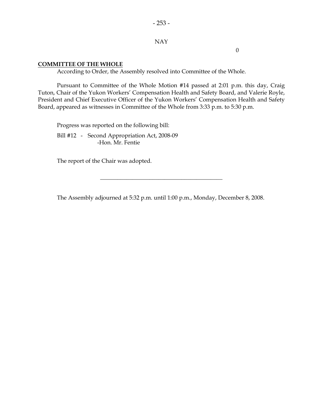#### NAY

0

#### **COMMITTEE OF THE WHOLE**

According to Order, the Assembly resolved into Committee of the Whole.

 Pursuant to Committee of the Whole Motion #14 passed at 2:01 p.m. this day, Craig Tuton, Chair of the Yukon Workers' Compensation Health and Safety Board, and Valerie Royle, President and Chief Executive Officer of the Yukon Workers' Compensation Health and Safety Board, appeared as witnesses in Committee of the Whole from 3:33 p.m. to 5:30 p.m.

 Progress was reported on the following bill: Bill #12 - Second Appropriation Act, 2008-09 -Hon. Mr. Fentie

The report of the Chair was adopted.

The Assembly adjourned at 5:32 p.m. until 1:00 p.m., Monday, December 8, 2008.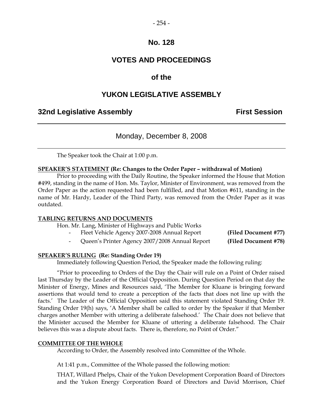## **VOTES AND PROCEEDINGS**

## **of the**

## **YUKON LEGISLATIVE ASSEMBLY**

## **32nd Legislative Assembly First Session**

## Monday, December 8, 2008

The Speaker took the Chair at 1:00 p.m.

#### **SPEAKER'S STATEMENT (Re: Changes to the Order Paper – withdrawal of Motion)**

 Prior to proceeding with the Daily Routine, the Speaker informed the House that Motion #499, standing in the name of Hon. Ms. Taylor, Minister of Environment, was removed from the Order Paper as the action requested had been fulfilled, and that Motion #611, standing in the name of Mr. Hardy, Leader of the Third Party, was removed from the Order Paper as it was outdated.

#### **TABLING RETURNS AND DOCUMENTS**

Hon. Mr. Lang, Minister of Highways and Public Works

- Fleet Vehicle Agency 2007-2008 Annual Report **(Filed Document #77)** 
	- Queen's Printer Agency 2007/2008 Annual Report **(Filed Document #78)**

#### **SPEAKER'S RULING (Re: Standing Order 19)**

Immediately following Question Period, the Speaker made the following ruling:

 "Prior to proceeding to Orders of the Day the Chair will rule on a Point of Order raised last Thursday by the Leader of the Official Opposition. During Question Period on that day the Minister of Energy, Mines and Resources said, 'The Member for Kluane is bringing forward assertions that would tend to create a perception of the facts that does not line up with the facts.' The Leader of the Official Opposition said this statement violated Standing Order 19. Standing Order 19(h) says, 'A Member shall be called to order by the Speaker if that Member charges another Member with uttering a deliberate falsehood.' The Chair does not believe that the Minister accused the Member for Kluane of uttering a deliberate falsehood. The Chair believes this was a dispute about facts. There is, therefore, no Point of Order."

#### **COMMITTEE OF THE WHOLE**

According to Order, the Assembly resolved into Committee of the Whole.

At 1:41 p.m., Committee of the Whole passed the following motion:

 THAT, Willard Phelps, Chair of the Yukon Development Corporation Board of Directors and the Yukon Energy Corporation Board of Directors and David Morrison, Chief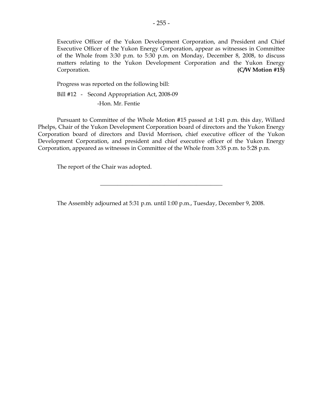Executive Officer of the Yukon Development Corporation, and President and Chief Executive Officer of the Yukon Energy Corporation, appear as witnesses in Committee of the Whole from 3:30 p.m. to 5:30 p.m. on Monday, December 8, 2008, to discuss matters relating to the Yukon Development Corporation and the Yukon Energy Corporation. **(C/W Motion #15)** 

Progress was reported on the following bill:

Bill #12 - Second Appropriation Act, 2008-09

-Hon. Mr. Fentie

 Pursuant to Committee of the Whole Motion #15 passed at 1:41 p.m. this day, Willard Phelps, Chair of the Yukon Development Corporation board of directors and the Yukon Energy Corporation board of directors and David Morrison, chief executive officer of the Yukon Development Corporation, and president and chief executive officer of the Yukon Energy Corporation, appeared as witnesses in Committee of the Whole from 3:35 p.m. to 5:28 p.m.

The report of the Chair was adopted.

The Assembly adjourned at 5:31 p.m. until 1:00 p.m., Tuesday, December 9, 2008.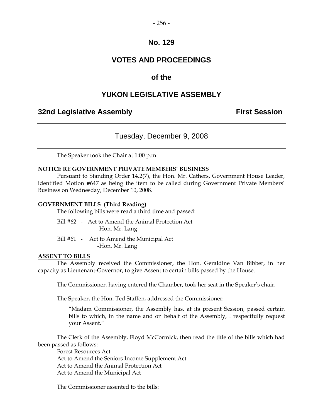## **VOTES AND PROCEEDINGS**

## **of the**

## **YUKON LEGISLATIVE ASSEMBLY**

## **32nd Legislative Assembly The Contract Session**

## Tuesday, December 9, 2008

The Speaker took the Chair at 1:00 p.m.

#### **NOTICE RE GOVERNMENT PRIVATE MEMBERS' BUSINESS**

 Pursuant to Standing Order 14.2(7), the Hon. Mr. Cathers, Government House Leader, identified Motion #647 as being the item to be called during Government Private Members' Business on Wednesday, December 10, 2008.

#### **GOVERNMENT BILLS (Third Reading)**

The following bills were read a third time and passed:

|  | Bill #62 - Act to Amend the Animal Protection Act |
|--|---------------------------------------------------|
|  | -Hon. Mr. Lang                                    |

Bill #61 - Act to Amend the Municipal Act -Hon. Mr. Lang

#### **ASSENT TO BILLS**

 The Assembly received the Commissioner, the Hon. Geraldine Van Bibber, in her capacity as Lieutenant-Governor, to give Assent to certain bills passed by the House.

The Commissioner, having entered the Chamber, took her seat in the Speaker's chair.

The Speaker, the Hon. Ted Staffen, addressed the Commissioner:

"Madam Commissioner, the Assembly has, at its present Session, passed certain bills to which, in the name and on behalf of the Assembly, I respectfully request your Assent."

 The Clerk of the Assembly, Floyd McCormick, then read the title of the bills which had been passed as follows:

 Forest Resources Act Act to Amend the Seniors Income Supplement Act Act to Amend the Animal Protection Act Act to Amend the Municipal Act

The Commissioner assented to the bills: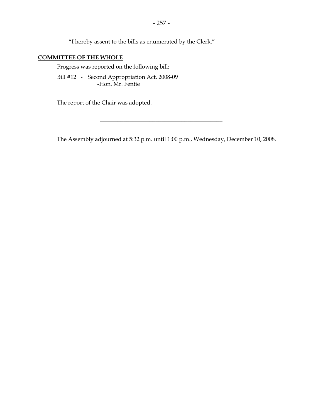"I hereby assent to the bills as enumerated by the Clerk."

## **COMMITTEE OF THE WHOLE**

Progress was reported on the following bill:

 Bill #12 - Second Appropriation Act, 2008-09 -Hon. Mr. Fentie

The report of the Chair was adopted.

The Assembly adjourned at 5:32 p.m. until 1:00 p.m., Wednesday, December 10, 2008.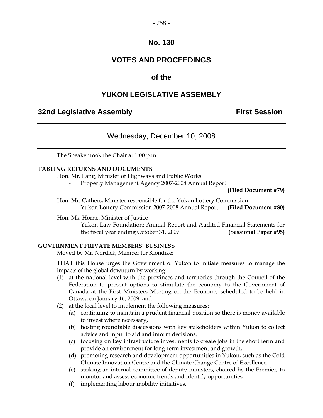## **VOTES AND PROCEEDINGS**

## **of the**

## **YUKON LEGISLATIVE ASSEMBLY**

## **32nd Legislative Assembly First Session**

## Wednesday, December 10, 2008

The Speaker took the Chair at 1:00 p.m.

#### **TABLING RETURNS AND DOCUMENTS**

Hon. Mr. Lang, Minister of Highways and Public Works

- Property Management Agency 2007-2008 Annual Report

 **(Filed Document #79)** 

- Hon. Mr. Cathers, Minister responsible for the Yukon Lottery Commission
	- Yukon Lottery Commission 2007-2008 Annual Report **(Filed Document #80)**

#### Hon. Ms. Horne, Minister of Justice

 - Yukon Law Foundation: Annual Report and Audited Financial Statements for the fiscal year ending October 31, 2007 **(Sessional Paper #95)**

#### **GOVERNMENT PRIVATE MEMBERS' BUSINESS**

Moved by Mr. Nordick, Member for Klondike:

 THAT this House urges the Government of Yukon to initiate measures to manage the impacts of the global downturn by working:

- (1) at the national level with the provinces and territories through the Council of the Federation to present options to stimulate the economy to the Government of Canada at the First Ministers Meeting on the Economy scheduled to be held in Ottawa on January 16, 2009; and
- (2) at the local level to implement the following measures:
	- (a) continuing to maintain a prudent financial position so there is money available to invest where necessary,
	- (b) hosting roundtable discussions with key stakeholders within Yukon to collect advice and input to aid and inform decisions,
	- (c) focusing on key infrastructure investments to create jobs in the short term and provide an environment for long-term investment and growth,
	- (d) promoting research and development opportunities in Yukon, such as the Cold Climate Innovation Centre and the Climate Change Centre of Excellence,
	- (e) striking an internal committee of deputy ministers, chaired by the Premier, to monitor and assess economic trends and identify opportunities,
	- (f) implementing labour mobility initiatives,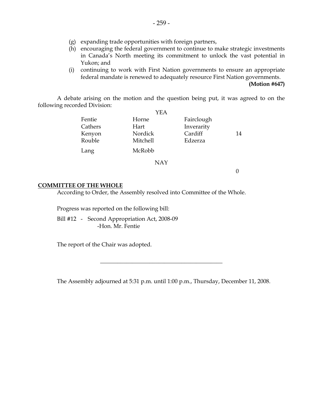- (g) expanding trade opportunities with foreign partners,
- (h) encouraging the federal government to continue to make strategic investments in Canada's North meeting its commitment to unlock the vast potential in Yukon; and
- (i) continuing to work with First Nation governments to ensure an appropriate federal mandate is renewed to adequately resource First Nation governments.

**(Motion #647)** 

 A debate arising on the motion and the question being put, it was agreed to on the following recorded Division:

|         | YEA      |            |    |
|---------|----------|------------|----|
| Fentie  | Horne    | Fairclough |    |
| Cathers | Hart     | Inverarity |    |
| Kenyon  | Nordick  | Cardiff    | 14 |
| Rouble  | Mitchell | Edzerza    |    |
| Lang    | McRobb   |            |    |
|         | NAY      |            |    |

0

#### **COMMITTEE OF THE WHOLE**

According to Order, the Assembly resolved into Committee of the Whole.

Progress was reported on the following bill:

 Bill #12 - Second Appropriation Act, 2008-09 -Hon. Mr. Fentie

The report of the Chair was adopted.

The Assembly adjourned at 5:31 p.m. until 1:00 p.m., Thursday, December 11, 2008.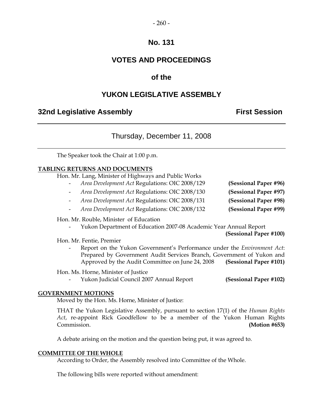#### $-260-$

## **No. 131**

## **VOTES AND PROCEEDINGS**

## **of the**

## **YUKON LEGISLATIVE ASSEMBLY**

## **32nd Legislative Assembly First Session**

## Thursday, December 11, 2008

The Speaker took the Chair at 1:00 p.m.

#### **TABLING RETURNS AND DOCUMENTS**

Hon. Mr. Lang, Minister of Highways and Public Works

- *Area Development Act* Regulations: OIC 2008/129 **(Sessional Paper #96)**  - *Area Development Act* Regulations: OIC 2008/130 **(Sessional Paper #97)**
- *Area Development Act* Regulations: OIC 2008/131 **(Sessional Paper #98)**
- 

- *Area Development Act* Regulations: OIC 2008/132 **(Sessional Paper #99)**

#### Hon. Mr. Rouble, Minister of Education

- Yukon Department of Education 2007-08 Academic Year Annual Report

**(Sessional Paper #100)**

Hon. Mr. Fentie, Premier

 - Report on the Yukon Government's Performance under the *Environment Act*: Prepared by Government Audit Services Branch, Government of Yukon and Approved by the Audit Committee on June 24, 2008 **(Sessional Paper #101)** 

Hon. Ms. Horne, Minister of Justice

- Yukon Judicial Council 2007 Annual Report **(Sessional Paper #102)**
	-

#### **GOVERNMENT MOTIONS**

Moved by the Hon. Ms. Horne, Minister of Justice:

 THAT the Yukon Legislative Assembly, pursuant to section 17(1) of the *Human Rights Act*, re-appoint Rick Goodfellow to be a member of the Yukon Human Rights Commission. **(Motion #653)** 

A debate arising on the motion and the question being put, it was agreed to.

#### **COMMITTEE OF THE WHOLE**

According to Order, the Assembly resolved into Committee of the Whole.

The following bills were reported without amendment: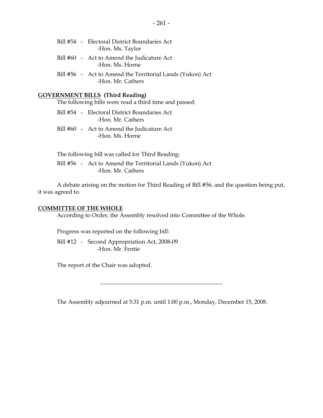#### **GOVERNMENT BILLS (Third Reading)**

The following bills were read a third time and passed:

- Bill #54 Electoral District Boundaries Act -Hon. Mr. Cathers
- Bill #60 Act to Amend the Judicature Act -Hon. Ms. Horne

 The following bill was called for Third Reading: Bill #56 - Act to Amend the Territorial Lands (Yukon) Act -Hon. Mr. Cathers

 A debate arising on the motion for Third Reading of Bill #56, and the question being put, it was agreed to.

#### **COMMITTEE OF THE WHOLE**

According to Order, the Assembly resolved into Committee of the Whole.

Progress was reported on the following bill:

 Bill #12 - Second Appropriation Act, 2008-09 -Hon. Mr. Fentie

The report of the Chair was adopted.

The Assembly adjourned at 5:31 p.m. until 1:00 p.m., Monday, December 15, 2008.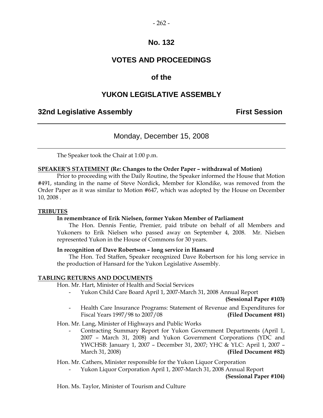## **VOTES AND PROCEEDINGS**

## **of the**

## **YUKON LEGISLATIVE ASSEMBLY**

## **32nd Legislative Assembly First Session**

## Monday, December 15, 2008

The Speaker took the Chair at 1:00 p.m.

#### **SPEAKER'S STATEMENT (Re: Changes to the Order Paper – withdrawal of Motion)**

 Prior to proceeding with the Daily Routine, the Speaker informed the House that Motion #491, standing in the name of Steve Nordick, Member for Klondike, was removed from the Order Paper as it was similar to Motion #647, which was adopted by the House on December 10, 2008 .

#### **TRIBUTES**

#### **In remembrance of Erik Nielsen, former Yukon Member of Parliament**

 The Hon. Dennis Fentie, Premier, paid tribute on behalf of all Members and Yukoners to Erik Nielsen who passed away on September 4, 2008. Mr. Nielsen represented Yukon in the House of Commons for 30 years.

#### **In recognition of Dave Robertson – long service in Hansard**

 The Hon. Ted Staffen, Speaker recognized Dave Robertson for his long service in the production of Hansard for the Yukon Legislative Assembly.

#### **TABLING RETURNS AND DOCUMENTS**

Hon. Mr. Hart, Minister of Health and Social Services

- Yukon Child Care Board April 1, 2007-March 31, 2008 Annual Report

**(Sessional Paper #103)** 

 - Health Care Insurance Programs: Statement of Revenue and Expenditures for Fiscal Years 1997/98 to 2007/08 **(Filed Document #81)**

Hon. Mr. Lang, Minister of Highways and Public Works

 - Contracting Summary Report for Yukon Government Departments (April 1, 2007 – March 31, 2008) and Yukon Government Corporations (YDC and YWCHSB: January 1, 2007 – December 31, 2007; YHC & YLC: April 1, 2007 – March 31, 2008) **(Filed Document #82)**

Hon. Mr. Cathers, Minister responsible for the Yukon Liquor Corporation

- Yukon Liquor Corporation April 1, 2007-March 31, 2008 Annual Report

**(Sessional Paper #104)**

Hon. Ms. Taylor, Minister of Tourism and Culture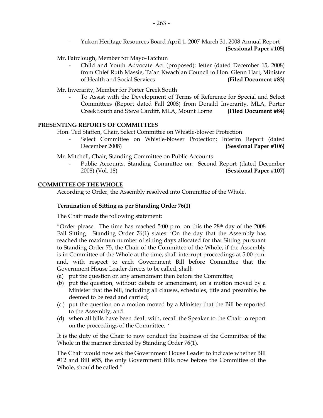- Yukon Heritage Resources Board April 1, 2007-March 31, 2008 Annual Report **(Sessional Paper #105)** 

Mr. Fairclough, Member for Mayo-Tatchun

 - Child and Youth Advocate Act (proposed): letter (dated December 15, 2008) from Chief Ruth Massie, Ta'an Kwach'an Council to Hon. Glenn Hart, Minister of Health and Social Services **(Filed Document #83)** 

Mr. Inverarity, Member for Porter Creek South

 - To Assist with the Development of Terms of Reference for Special and Select Committees (Report dated Fall 2008) from Donald Inverarity, MLA, Porter Creek South and Steve Cardiff, MLA, Mount Lorne **(Filed Document #84)**

## **PRESENTING REPORTS OF COMMITTEES**

Hon. Ted Staffen, Chair, Select Committee on Whistle-blower Protection

- Select Committee on Whistle-blower Protection: Interim Report (dated December 2008) **(Sessional Paper #106)**
- Mr. Mitchell, Chair, Standing Committee on Public Accounts
	- Public Accounts, Standing Committee on: Second Report (dated December 2008) (Vol. 18) **(Sessional Paper #107)**

## **COMMITTEE OF THE WHOLE**

According to Order, the Assembly resolved into Committee of the Whole.

#### **Termination of Sitting as per Standing Order 76(1)**

The Chair made the following statement:

"Order please. The time has reached  $5:00$  p.m. on this the  $28<sup>th</sup>$  day of the  $2008$ Fall Sitting. Standing Order 76(1) states: 'On the day that the Assembly has reached the maximum number of sitting days allocated for that Sitting pursuant to Standing Order 75, the Chair of the Committee of the Whole, if the Assembly is in Committee of the Whole at the time, shall interrupt proceedings at 5:00 p.m. and, with respect to each Government Bill before Committee that the Government House Leader directs to be called, shall:

- (a) put the question on any amendment then before the Committee;
- (b) put the question, without debate or amendment, on a motion moved by a Minister that the bill, including all clauses, schedules, title and preamble, be deemed to be read and carried;
- (c ) put the question on a motion moved by a Minister that the Bill be reported to the Assembly; and
- (d) when all bills have been dealt with, recall the Speaker to the Chair to report on the proceedings of the Committee. '

It is the duty of the Chair to now conduct the business of the Committee of the Whole in the manner directed by Standing Order 76(1).

The Chair would now ask the Government House Leader to indicate whether Bill #12 and Bill #55, the only Government Bills now before the Committee of the Whole, should be called."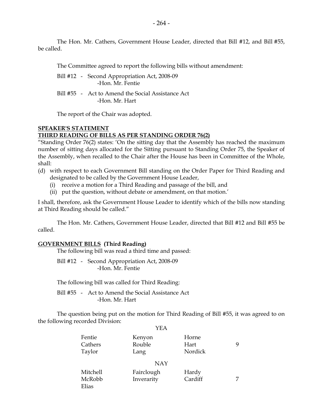The Hon. Mr. Cathers, Government House Leader, directed that Bill #12, and Bill #55, be called.

The Committee agreed to report the following bills without amendment:

 Bill #12 - Second Appropriation Act, 2008-09 -Hon. Mr. Fentie

 Bill #55 - Act to Amend the Social Assistance Act -Hon. Mr. Hart

The report of the Chair was adopted.

#### **SPEAKER'S STATEMENT THIRD READING OF BILLS AS PER STANDING ORDER 76(2)**

"Standing Order 76(2) states: 'On the sitting day that the Assembly has reached the maximum number of sitting days allocated for the Sitting pursuant to Standing Order 75, the Speaker of the Assembly, when recalled to the Chair after the House has been in Committee of the Whole, shall:

- (d) with respect to each Government Bill standing on the Order Paper for Third Reading and designated to be called by the Government House Leader,
	- (i) receive a motion for a Third Reading and passage of the bill, and
	- (ii) put the question, without debate or amendment, on that motion.'

I shall, therefore, ask the Government House Leader to identify which of the bills now standing at Third Reading should be called."

The Hon. Mr. Cathers, Government House Leader, directed that Bill #12 and Bill #55 be called.

#### **GOVERNMENT BILLS (Third Reading)**

The following bill was read a third time and passed:

 Bill #12 - Second Appropriation Act, 2008-09 -Hon. Mr. Fentie

The following bill was called for Third Reading:

 Bill #55 - Act to Amend the Social Assistance Act -Hon. Mr. Hart

 The question being put on the motion for Third Reading of Bill #55, it was agreed to on the following recorded Division: YEA

|          | 1 1 <i>1 1</i> 1 |         |   |
|----------|------------------|---------|---|
| Fentie   | Kenyon           | Horne   |   |
| Cathers  | Rouble           | Hart    | 9 |
| Taylor   | Lang             | Nordick |   |
|          | <b>NAY</b>       |         |   |
| Mitchell | Fairclough       | Hardy   |   |
| McRobb   | Inverarity       | Cardiff |   |
| Elias    |                  |         |   |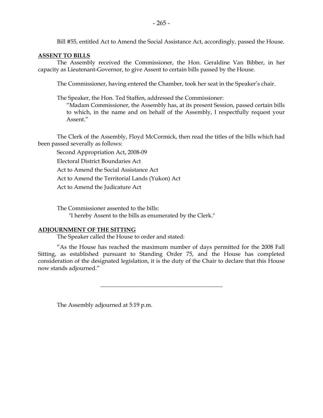Bill #55, entitled Act to Amend the Social Assistance Act, accordingly, passed the House.

#### **ASSENT TO BILLS**

 The Assembly received the Commissioner, the Hon. Geraldine Van Bibber, in her capacity as Lieutenant-Governor, to give Assent to certain bills passed by the House.

The Commissioner, having entered the Chamber, took her seat in the Speaker's chair.

The Speaker, the Hon. Ted Staffen, addressed the Commissioner:

 "Madam Commissioner, the Assembly has, at its present Session, passed certain bills to which, in the name and on behalf of the Assembly, I respectfully request your Assent."

 The Clerk of the Assembly, Floyd McCormick, then read the titles of the bills which had been passed severally as follows:

 Second Appropriation Act, 2008-09 Electoral District Boundaries Act Act to Amend the Social Assistance Act Act to Amend the Territorial Lands (Yukon) Act Act to Amend the Judicature Act

 The Commissioner assented to the bills: "I hereby Assent to the bills as enumerated by the Clerk."

#### **ADJOURNMENT OF THE SITTING**

The Speaker called the House to order and stated:

 "As the House has reached the maximum number of days permitted for the 2008 Fall Sitting, as established pursuant to Standing Order 75, and the House has completed consideration of the designated legislation, it is the duty of the Chair to declare that this House now stands adjourned."

 $\frac{1}{2}$  ,  $\frac{1}{2}$  ,  $\frac{1}{2}$  ,  $\frac{1}{2}$  ,  $\frac{1}{2}$  ,  $\frac{1}{2}$  ,  $\frac{1}{2}$  ,  $\frac{1}{2}$  ,  $\frac{1}{2}$  ,  $\frac{1}{2}$  ,  $\frac{1}{2}$  ,  $\frac{1}{2}$  ,  $\frac{1}{2}$  ,  $\frac{1}{2}$  ,  $\frac{1}{2}$  ,  $\frac{1}{2}$  ,  $\frac{1}{2}$  ,  $\frac{1}{2}$  ,  $\frac{1$ 

The Assembly adjourned at 5:19 p.m.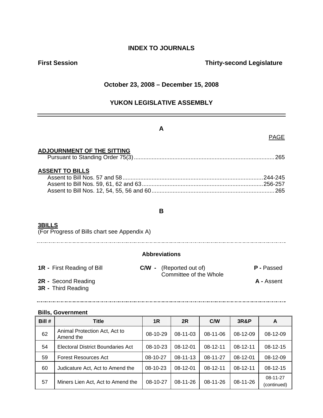## **INDEX TO JOURNALS**

## **First Session Contract Session Contract Session Contract Contract Contract Contract Contract Contract Contract Contract Contract Contract Contract Contract Contract Contract Contract Contract Contract Contract Contract Co**

#### **October 23, 2008 – December 15, 2008**

## **YUKON LEGISLATIVE ASSEMBLY**

#### **A**

## PAGE

#### **ADJOURNMENT OF THE SITTING**

|--|--|

#### **ASSENT TO BILLS**

#### **B**

## **3BILLS**

(For Progress of Bills chart see Appendix A)

#### **Abbreviations**

- **1R** First Reading of Bill **C/W** (Reported out of) **P** Passed **Committee of the Whole**
- **2R** Second Reading **A** Assent
- **3R** Third Reading

# 

<u> 1989 - Johann Stoff, deutscher Stoff, der Stoff, der Stoff, der Stoff, der Stoff, der Stoff, der Stoff, der </u>

#### **Bills, Government**

| Bill # | <b>Title</b>                               | 1R         | 2R             | C/W        | <b>3R&amp;P</b> | A                       |
|--------|--------------------------------------------|------------|----------------|------------|-----------------|-------------------------|
| 62     | Animal Protection Act, Act to<br>Amend the | 08-10-29   | $08-11-03$     | $08-11-06$ | 08-12-09        | 08-12-09                |
| 54     | Electoral District Boundaries Act          | $08-10-23$ | $08-12-01$     | $08-12-11$ | $08-12-11$      | $08-12-15$              |
| 59     | <b>Forest Resources Act</b>                | 08-10-27   | $08 - 11 - 13$ | 08-11-27   | $08-12-01$      | 08-12-09                |
| 60     | Judicature Act, Act to Amend the           | $08-10-23$ | $08-12-01$     | $08-12-11$ | $08-12-11$      | $08-12-15$              |
| 57     | Miners Lien Act, Act to Amend the          | 08-10-27   | $08 - 11 - 26$ | $08-11-26$ | 08-11-26        | 08-11-27<br>(continued) |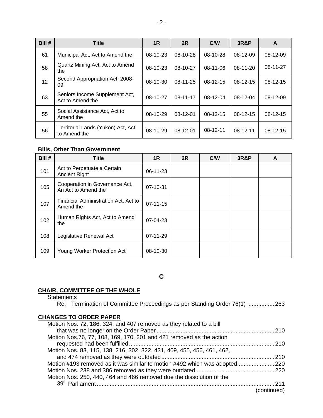| Bill # | <b>Title</b>                                       | 1 <sub>R</sub> | 2R         | C/W        | <b>3R&amp;P</b> | A          |
|--------|----------------------------------------------------|----------------|------------|------------|-----------------|------------|
| 61     | Municipal Act, Act to Amend the                    | $08-10-23$     | 08-10-28   | $08-10-28$ | $08-12-09$      | 08-12-09   |
| 58     | Quartz Mining Act, Act to Amend<br>the             | $08-10-23$     | $08-10-27$ | 08-11-06   | $08-11-20$      | 08-11-27   |
| 12     | Second Appropriation Act, 2008-<br>09              | $08-10-30$     | 08-11-25   | $08-12-15$ | $08-12-15$      | $08-12-15$ |
| 63     | Seniors Income Supplement Act,<br>Act to Amend the | 08-10-27       | 08-11-17   | 08-12-04   | 08-12-04        | 08-12-09   |
| 55     | Social Assistance Act, Act to<br>Amend the         | $08-10-29$     | $08-12-01$ | $08-12-15$ | $08-12-15$      | $08-12-15$ |
| 56     | Territorial Lands (Yukon) Act, Act<br>to Amend the | $08-10-29$     | $08-12-01$ | $08-12-11$ | $08-12-11$      | $08-12-15$ |

## **Bills, Other Than Government**

| Bill # | <b>Title</b>                                          | 1R             | 2R | C/W | <b>3R&amp;P</b> | A |
|--------|-------------------------------------------------------|----------------|----|-----|-----------------|---|
| 101    | Act to Perpetuate a Certain<br><b>Ancient Right</b>   | 06-11-23       |    |     |                 |   |
| 105    | Cooperation in Governance Act,<br>An Act to Amend the | $07 - 10 - 31$ |    |     |                 |   |
| 107    | Financial Administration Act, Act to<br>Amend the     | $07 - 11 - 15$ |    |     |                 |   |
| 102    | Human Rights Act, Act to Amend<br>the                 | $07-04-23$     |    |     |                 |   |
| 108    | Legislative Renewal Act                               | 07-11-29       |    |     |                 |   |
| 109    | Young Worker Protection Act                           | 08-10-30       |    |     |                 |   |

**C** 

## **CHAIR, COMMITTEE OF THE WHOLE**

```
Statements
```
Re: Termination of Committee Proceedings as per Standing Order 76(1) ................263

## **CHANGES TO ORDER PAPER**

|             | Motion Nos. 72, 186, 324, and 407 removed as they related to a bill        |
|-------------|----------------------------------------------------------------------------|
|             |                                                                            |
|             | Motion Nos.76, 77, 108, 169, 170, 201 and 421 removed as the action        |
|             |                                                                            |
|             | Motion Nos. 83, 115, 138, 216, 302, 322, 431, 409, 455, 456, 461, 462,     |
|             |                                                                            |
|             | Motion #193 removed as it was similar to motion #492 which was adopted 220 |
|             |                                                                            |
|             | Motion Nos. 250, 440, 464 and 466 removed due the dissolution of the       |
| -211        |                                                                            |
| (continued) |                                                                            |
|             |                                                                            |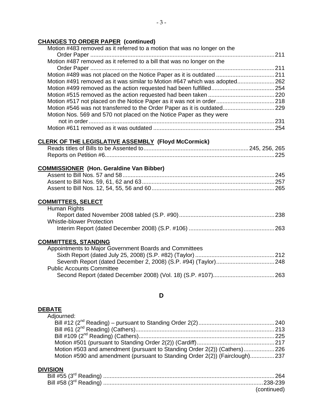## **CHANGES TO ORDER PAPER (continued)**

| Motion #483 removed as it referred to a motion that was no longer on the   |  |
|----------------------------------------------------------------------------|--|
|                                                                            |  |
| Motion #487 removed as it referred to a bill that was no longer on the     |  |
|                                                                            |  |
|                                                                            |  |
| Motion #491 removed as it was similar to Motion #647 which was adopted 262 |  |
|                                                                            |  |
|                                                                            |  |
|                                                                            |  |
|                                                                            |  |
| Motion Nos. 569 and 570 not placed on the Notice Paper as they were        |  |
|                                                                            |  |
|                                                                            |  |

## **CLERK OF THE LEGISLATIVE ASSEMBLY (Floyd McCormick)**

## **COMMISSIONER (Hon. Geraldine Van Bibber)**

#### **COMMITTEES, SELECT**

| Human Rights              |  |
|---------------------------|--|
|                           |  |
| Whistle-blower Protection |  |
|                           |  |

#### **COMMITTEES, STANDING**

## **D**

#### **DEBATE**

| Adjourned:                                                                  |  |
|-----------------------------------------------------------------------------|--|
|                                                                             |  |
|                                                                             |  |
|                                                                             |  |
|                                                                             |  |
| Motion #503 and amendment (pursuant to Standing Order 2(2)) (Cathers)226    |  |
| Motion #590 and amendment (pursuant to Standing Order 2(2)) (Fairclough)237 |  |

#### **DIVISION**

| (continued) |
|-------------|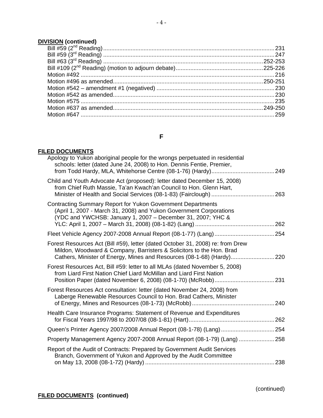## **DIVISION (continued)**

## **F**

## **FILED DOCUMENTS**

| Apology to Yukon aboriginal people for the wrongs perpetuated in residential<br>schools: letter (dated June 24, 2008) to Hon. Dennis Fentie, Premier,                                                                            |  |
|----------------------------------------------------------------------------------------------------------------------------------------------------------------------------------------------------------------------------------|--|
| Child and Youth Advocate Act (proposed): letter dated December 15, 2008)<br>from Chief Ruth Massie, Ta'an Kwach'an Council to Hon. Glenn Hart,                                                                                   |  |
| Contracting Summary Report for Yukon Government Departments<br>(April 1, 2007 - March 31, 2008) and Yukon Government Corporations<br>(YDC and YWCHSB: January 1, 2007 - December 31, 2007; YHC &                                 |  |
|                                                                                                                                                                                                                                  |  |
| Forest Resources Act (Bill #59), letter (dated October 31, 2008) re: from Drew<br>Mildon, Woodward & Company, Barristers & Solicitors to the Hon. Brad<br>Cathers, Minister of Energy, Mines and Resources (08-1-68) (Hardy) 220 |  |
| Forest Resources Act, Bill #59: letter to all MLAs (dated November 5, 2008)<br>from Liard First Nation Chief Liard McMillan and Liard First Nation                                                                               |  |
| Forest Resources Act consultation: letter (dated November 24, 2008) from<br>Laberge Renewable Resources Council to Hon. Brad Cathers, Minister                                                                                   |  |
| Health Care Insurance Programs: Statement of Revenue and Expenditures                                                                                                                                                            |  |
| Queen's Printer Agency 2007/2008 Annual Report (08-1-78) (Lang)  254                                                                                                                                                             |  |
| Property Management Agency 2007-2008 Annual Report (08-1-79) (Lang)  258                                                                                                                                                         |  |
| Report of the Audit of Contracts: Prepared by Government Audit Services<br>Branch, Government of Yukon and Approved by the Audit Committee                                                                                       |  |
|                                                                                                                                                                                                                                  |  |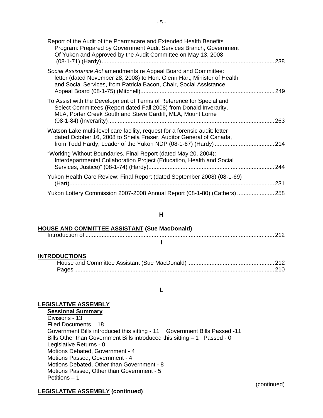| Report of the Audit of the Pharmacare and Extended Health Benefits<br>Program: Prepared by Government Audit Services Branch, Government<br>Of Yukon and Approved by the Audit Committee on May 13, 2008          | 238  |
|------------------------------------------------------------------------------------------------------------------------------------------------------------------------------------------------------------------|------|
| Social Assistance Act amendments re Appeal Board and Committee:<br>letter (dated November 28, 2008) to Hon. Glenn Hart, Minister of Health<br>and Social Services, from Patricia Bacon, Chair, Social Assistance | 249  |
| To Assist with the Development of Terms of Reference for Special and<br>Select Committees (Report dated Fall 2008) from Donald Inverarity,<br>MLA, Porter Creek South and Steve Cardiff, MLA, Mount Lorne        | 263  |
| Watson Lake multi-level care facility, request for a forensic audit: letter<br>dated October 16, 2008 to Sheila Fraser, Auditor General of Canada,                                                               |      |
| "Working Without Boundaries, Final Report (dated May 20, 2004):<br>Interdepartmental Collaboration Project (Education, Health and Social                                                                         | .244 |
| Yukon Health Care Review: Final Report (dated September 2008) (08-1-69)                                                                                                                                          | 231  |
| Yukon Lottery Commission 2007-2008 Annual Report (08-1-80) (Cathers)  258                                                                                                                                        |      |

#### **H**

## **HOUSE AND COMMITTEE ASSISTANT (Sue MacDonald)**

## **I**

## **INTRODUCTIONS**

#### **L**

## **LEGISLATIVE ASSEMBLY**

**Sessional Summary** Divisions - 13 Filed Documents – 18 Government Bills introduced this sitting - 11 Government Bills Passed -11 Bills Other than Government Bills introduced this sitting - 1 Passed - 0 Legislative Returns - 0 Motions Debated, Government - 4 Motions Passed, Government - 4 Motions Debated, Other than Government - 8 Motions Passed, Other than Government - 5 Petitions – 1

## **LEGISLATIVE ASSEMBLY (continued)**

(continued)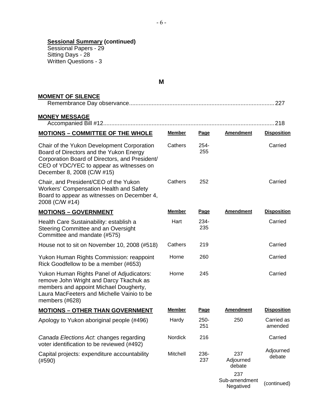#### **Sessional Summary (continued)**

 Sessional Papers - 29 Sitting Days - 28 Written Questions - 3

**M** 

| <b>MOMENT OF SILENCE</b>                                                                                                                                                                                          |                |                |                                   | 227                   |
|-------------------------------------------------------------------------------------------------------------------------------------------------------------------------------------------------------------------|----------------|----------------|-----------------------------------|-----------------------|
| <b>MONEY MESSAGE</b>                                                                                                                                                                                              |                |                |                                   | .218                  |
| <b>MOTIONS - COMMITTEE OF THE WHOLE</b>                                                                                                                                                                           | <b>Member</b>  | Page           | <b>Amendment</b>                  | <b>Disposition</b>    |
| Chair of the Yukon Development Corporation<br>Board of Directors and the Yukon Energy<br>Corporation Board of Directors, and President/<br>CEO of YDC/YEC to appear as witnesses on<br>December 8, 2008 (C/W #15) | Cathers        | 254-<br>255    |                                   | Carried               |
| Chair, and President/CEO of the Yukon<br><b>Workers' Compensation Health and Safety</b><br>Board to appear as witnesses on December 4,<br>2008 (C/W #14)                                                          | Cathers        | 252            |                                   | Carried               |
| <b>MOTIONS - GOVERNMENT</b>                                                                                                                                                                                       | <b>Member</b>  | <u>Page</u>    | <b>Amendment</b>                  | <b>Disposition</b>    |
| Health Care Sustainability: establish a<br>Steering Committee and an Oversight<br>Committee and mandate (#575)                                                                                                    | Hart           | $234 -$<br>235 |                                   | Carried               |
| House not to sit on November 10, 2008 (#518)                                                                                                                                                                      | Cathers        | 219            |                                   | Carried               |
| Yukon Human Rights Commission: reappoint<br>Rick Goodfellow to be a member (#653)                                                                                                                                 | Horne          | 260            |                                   | Carried               |
| Yukon Human Rights Panel of Adjudicators:<br>remove John Wright and Darcy Tkachuk as<br>members and appoint Michael Dougherty,<br>Laura MacFeeters and Michelle Vainio to be<br>members (#628)                    | Horne          | 245            |                                   | Carried               |
| <b>MOTIONS - OTHER THAN GOVERNMENT</b>                                                                                                                                                                            | <b>Member</b>  | <b>Page</b>    | <b>Amendment</b>                  | <b>Disposition</b>    |
| Apology to Yukon aboriginal people (#496)                                                                                                                                                                         | Hardy          | $250 -$<br>251 | 250                               | Carried as<br>amended |
| Canada Elections Act. changes regarding<br>voter identification to be reviewed (#492)                                                                                                                             | <b>Nordick</b> | 216            |                                   | Carried               |
| Capital projects: expenditure accountability<br>(#590)                                                                                                                                                            | Mitchell       | 236-<br>237    | 237<br>Adjourned<br>debate        | Adjourned<br>debate   |
|                                                                                                                                                                                                                   |                |                | 237<br>Sub-amendment<br>Negatived | (continued)           |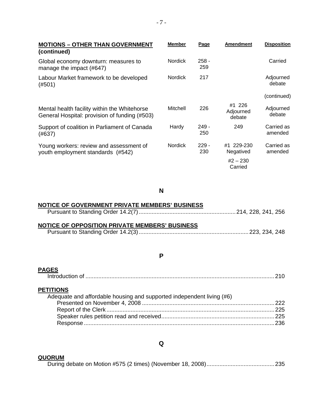| <b>MOTIONS - OTHER THAN GOVERNMENT</b><br>(continued)                                         | <b>Member</b>  | <b>Page</b>    | <b>Amendment</b>                                 | <b>Disposition</b>    |
|-----------------------------------------------------------------------------------------------|----------------|----------------|--------------------------------------------------|-----------------------|
| Global economy downturn: measures to<br>manage the impact (#647)                              | Nordick        | $258 -$<br>259 |                                                  | Carried               |
| Labour Market framework to be developed<br>(#501)                                             | <b>Nordick</b> | 217            |                                                  | Adjourned<br>debate   |
|                                                                                               |                |                |                                                  | (continued)           |
| Mental health facility within the Whitehorse<br>General Hospital: provision of funding (#503) | Mitchell       | 226            | #1 226<br>Adjourned<br>debate                    | Adjourned<br>debate   |
| Support of coalition in Parliament of Canada<br>(#637)                                        | Hardy          | $249 -$<br>250 | 249                                              | Carried as<br>amended |
| Young workers: review and assessment of<br>youth employment standards (#542)                  | <b>Nordick</b> | $229 -$<br>230 | #1 229-230<br>Negatived<br>$#2 - 230$<br>Carried | Carried as<br>amended |

**N** 

## **NOTICE OF GOVERNMENT PRIVATE MEMBERS' BUSINESS**

|--|--|--|

## **NOTICE OF OPPOSITION PRIVATE MEMBERS' BUSINESS**

|--|--|

#### **P**

## **PAGES**

## **PETITIONS**

| Adequate and affordable housing and supported independent living (#6) |  |
|-----------------------------------------------------------------------|--|
|                                                                       |  |
|                                                                       |  |
|                                                                       |  |
|                                                                       |  |

## **Q**

#### **QUORUM**

During debate on Motion #575 (2 times) (November 18, 2008)..........................................235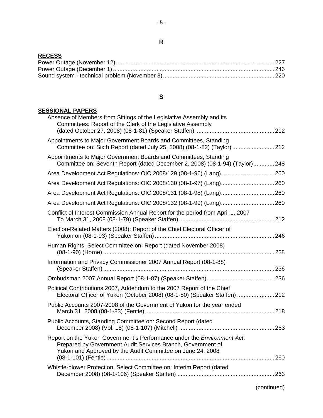## **RECESS**

## **S**

## **SESSIONAL PAPERS**

| Absence of Members from Sittings of the Legislative Assembly and its<br>Committees: Report of the Clerk of the Legislative Assembly                                                                  |  |
|------------------------------------------------------------------------------------------------------------------------------------------------------------------------------------------------------|--|
| Appointments to Major Government Boards and Committees, Standing<br>Committee on: Sixth Report (dated July 25, 2008) (08-1-82) (Taylor)  212                                                         |  |
| Appointments to Major Government Boards and Committees, Standing<br>Committee on: Seventh Report (dated December 2, 2008) (08-1-94) (Taylor)248                                                      |  |
|                                                                                                                                                                                                      |  |
| Area Development Act Regulations: OIC 2008/130 (08-1-97) (Lang) 260                                                                                                                                  |  |
|                                                                                                                                                                                                      |  |
| Area Development Act Regulations: OIC 2008/132 (08-1-99) (Lang) 260                                                                                                                                  |  |
| Conflict of Interest Commission Annual Report for the period from April 1, 2007                                                                                                                      |  |
| Election-Related Matters (2008): Report of the Chief Electoral Officer of                                                                                                                            |  |
| Human Rights, Select Committee on: Report (dated November 2008)                                                                                                                                      |  |
| Information and Privacy Commissioner 2007 Annual Report (08-1-88)                                                                                                                                    |  |
|                                                                                                                                                                                                      |  |
| Political Contributions 2007, Addendum to the 2007 Report of the Chief<br>Electoral Officer of Yukon (October 2008) (08-1-80) (Speaker Staffen)  212                                                 |  |
| Public Accounts 2007-2008 of the Government of Yukon for the year ended                                                                                                                              |  |
| Public Accounts, Standing Committee on: Second Report (dated                                                                                                                                         |  |
| Report on the Yukon Government's Performance under the Environment Act.<br>Prepared by Government Audit Services Branch, Government of<br>Yukon and Approved by the Audit Committee on June 24, 2008 |  |
| Whistle-blower Protection, Select Committee on: Interim Report (dated                                                                                                                                |  |

(continued)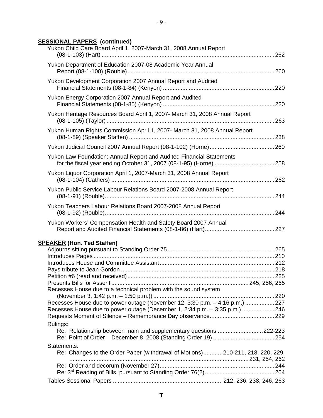## **SESSIONAL PAPERS (continued)**

| Yukon Child Care Board April 1, 2007-March 31, 2008 Annual Report             |  |
|-------------------------------------------------------------------------------|--|
| Yukon Department of Education 2007-08 Academic Year Annual                    |  |
| Yukon Development Corporation 2007 Annual Report and Audited                  |  |
| Yukon Energy Corporation 2007 Annual Report and Audited                       |  |
| Yukon Heritage Resources Board April 1, 2007- March 31, 2008 Annual Report    |  |
| Yukon Human Rights Commission April 1, 2007- March 31, 2008 Annual Report     |  |
|                                                                               |  |
| Yukon Law Foundation: Annual Report and Audited Financial Statements          |  |
| Yukon Liquor Corporation April 1, 2007-March 31, 2008 Annual Report           |  |
| Yukon Public Service Labour Relations Board 2007-2008 Annual Report           |  |
| Yukon Teachers Labour Relations Board 2007-2008 Annual Report                 |  |
| Yukon Workers' Compensation Health and Safety Board 2007 Annual               |  |
| <b>SPEAKER (Hon. Ted Staffen)</b>                                             |  |
|                                                                               |  |
|                                                                               |  |
|                                                                               |  |
|                                                                               |  |
|                                                                               |  |
| Recesses House due to a technical problem with the sound system               |  |
|                                                                               |  |
| Recesses House due to power outage (November 12, 3:30 p.m. - 4:16 p.m.)  227  |  |
| Recesses House due to power outage (December 1, 2:34 p.m. - 3:35 p.m.)  246   |  |
| Rulings:                                                                      |  |
| Re: Relationship between main and supplementary questions 222-223             |  |
|                                                                               |  |
| Statements:                                                                   |  |
| Re: Changes to the Order Paper (withdrawal of Motions)210-211, 218, 220, 229, |  |
|                                                                               |  |
|                                                                               |  |
|                                                                               |  |
|                                                                               |  |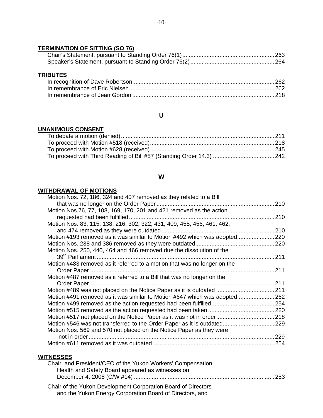## **TERMINATION OF SITTING (SO 76)**

## **TRIBUTES**

## **U**

## **UNANIMOUS CONSENT**

#### **W**

## **WITHDRAWAL OF MOTIONS**

| Motion Nos. 72, 186, 324 and 407 removed as they related to a Bill         |  |
|----------------------------------------------------------------------------|--|
|                                                                            |  |
| Motion Nos.76, 77, 108, 169, 170, 201 and 421 removed as the action        |  |
|                                                                            |  |
| Motion Nos. 83, 115, 138, 216, 302, 322, 431, 409, 455, 456, 461, 462,     |  |
|                                                                            |  |
| Motion #193 removed as it was similar to Motion #492 which was adopted 220 |  |
|                                                                            |  |
| Motion Nos. 250, 440, 464 and 466 removed due the dissolution of the       |  |
|                                                                            |  |
| Motion #483 removed as it referred to a motion that was no longer on the   |  |
|                                                                            |  |
| Motion #487 removed as it referred to a Bill that was no longer on the     |  |
|                                                                            |  |
| Motion #489 was not placed on the Notice Paper as it is outdated  211      |  |
| Motion #491 removed as it was similar to Motion #647 which was adopted 262 |  |
|                                                                            |  |
|                                                                            |  |
|                                                                            |  |
| Motion #546 was not transferred to the Order Paper as it is outdated 229   |  |
| Motion Nos. 569 and 570 not placed on the Notice Paper as they were        |  |
|                                                                            |  |
|                                                                            |  |
|                                                                            |  |
| <b>WITNESSES</b>                                                           |  |
| Chair and President/CEO of the Vukon Workers' Compensation                 |  |

| Chair, and President/CEO of the Yukon Workers' Compensation   |  |
|---------------------------------------------------------------|--|
| Health and Safety Board appeared as witnesses on              |  |
|                                                               |  |
| Chair of the Yukon Development Corporation Board of Directors |  |

and the Yukon Energy Corporation Board of Directors, and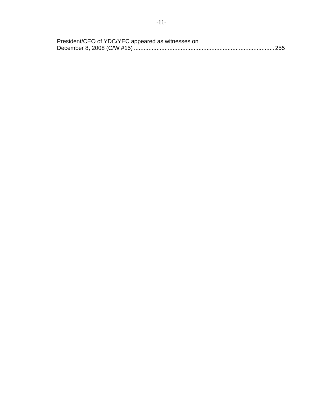$-11-$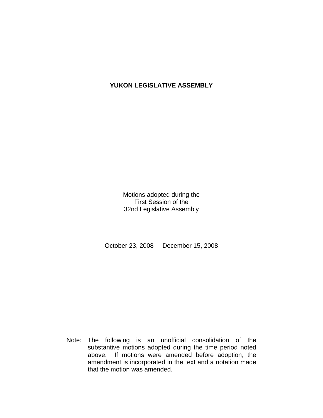## **YUKON LEGISLATIVE ASSEMBLY**

Motions adopted during the First Session of the 32nd Legislative Assembly

October 23, 2008 – December 15, 2008

 Note: The following is an unofficial consolidation of the substantive motions adopted during the time period noted above. If motions were amended before adoption, the amendment is incorporated in the text and a notation made that the motion was amended.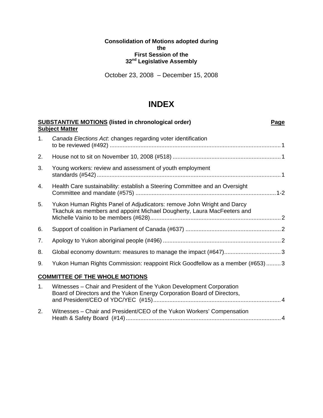#### **Consolidation of Motions adopted during the First Session of the 32nd Legislative Assembly**

October 23, 2008 – December 15, 2008

## **INDEX**

|    | <b>SUBSTANTIVE MOTIONS (listed in chronological order)</b><br><b>Subject Matter</b>                                                              | Page |
|----|--------------------------------------------------------------------------------------------------------------------------------------------------|------|
| 1. | Canada Elections Act: changes regarding voter identification                                                                                     |      |
| 2. |                                                                                                                                                  |      |
| 3. | Young workers: review and assessment of youth employment                                                                                         |      |
| 4. | Health Care sustainability: establish a Steering Committee and an Oversight                                                                      |      |
| 5. | Yukon Human Rights Panel of Adjudicators: remove John Wright and Darcy<br>Tkachuk as members and appoint Michael Dougherty, Laura MacFeeters and |      |
| 6. |                                                                                                                                                  |      |
| 7. |                                                                                                                                                  |      |
| 8. |                                                                                                                                                  |      |
| 9. | Yukon Human Rights Commission: reappoint Rick Goodfellow as a member (#653)  3                                                                   |      |
|    | <b>COMMITTEE OF THE WHOLE MOTIONS</b>                                                                                                            |      |
| 1. | Witnesses - Chair and President of the Yukon Development Corporation<br>Board of Directors and the Yukon Energy Corporation Board of Directors,  |      |

2. Witnesses – Chair and President/CEO of the Yukon Workers' Compensation Heath & Safety Board (#14)................................................................................................4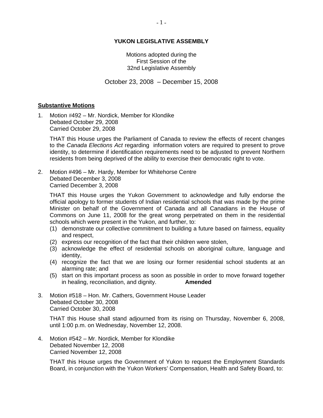#### **YUKON LEGISLATIVE ASSEMBLY**

Motions adopted during the First Session of the 32nd Legislative Assembly

October 23, 2008 – December 15, 2008

#### **Substantive Motions**

1. Motion #492 – Mr. Nordick, Member for Klondike Debated October 29, 2008 Carried October 29, 2008

 THAT this House urges the Parliament of Canada to review the effects of recent changes to the *Canada Elections Act* regarding information voters are required to present to prove identity, to determine if identification requirements need to be adjusted to prevent Northern residents from being deprived of the ability to exercise their democratic right to vote.

2. Motion #496 – Mr. Hardy, Member for Whitehorse Centre Debated December 3, 2008 Carried December 3, 2008

 THAT this House urges the Yukon Government to acknowledge and fully endorse the official apology to former students of Indian residential schools that was made by the prime Minister on behalf of the Government of Canada and all Canadians in the House of Commons on June 11, 2008 for the great wrong perpetrated on them in the residential schools which were present in the Yukon, and further, to:

- (1) demonstrate our collective commitment to building a future based on fairness, equality and respect,
- (2) express our recognition of the fact that their children were stolen,
- (3) acknowledge the effect of residential schools on aboriginal culture, language and identity,
- (4) recognize the fact that we are losing our former residential school students at an alarming rate; and
- (5) start on this important process as soon as possible in order to move forward together in healing, reconciliation, and dignity. **Amended**
- 3. Motion #518 Hon. Mr. Cathers, Government House Leader Debated October 30, 2008 Carried October 30, 2008

 THAT this House shall stand adjourned from its rising on Thursday, November 6, 2008, until 1:00 p.m. on Wednesday, November 12, 2008.

4. Motion #542 – Mr. Nordick, Member for Klondike Debated November 12, 2008 Carried November 12, 2008

 THAT this House urges the Government of Yukon to request the Employment Standards Board, in conjunction with the Yukon Workers' Compensation, Health and Safety Board, to: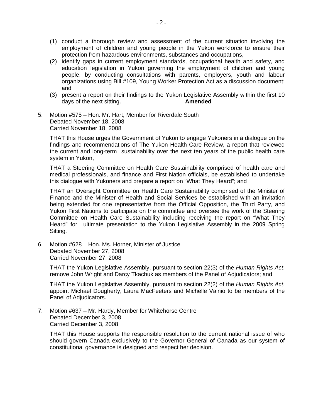- (1) conduct a thorough review and assessment of the current situation involving the employment of children and young people in the Yukon workforce to ensure their protection from hazardous environments, substances and occupations,
- (2) identify gaps in current employment standards, occupational health and safety, and education legislation in Yukon governing the employment of children and young people, by conducting consultations with parents, employers, youth and labour organizations using Bill #109, Young Worker Protection Act as a discussion document; and
- (3) present a report on their findings to the Yukon Legislative Assembly within the first 10 days of the next sitting. **Amended**
- 5. Motion #575 Hon. Mr. Hart, Member for Riverdale South Debated November 18, 2008 Carried November 18, 2008

 THAT this House urges the Government of Yukon to engage Yukoners in a dialogue on the findings and recommendations of The Yukon Health Care Review, a report that reviewed the current and long-term sustainability over the next ten years of the public health care system in Yukon,

 THAT a Steering Committee on Health Care Sustainability comprised of health care and medical professionals, and finance and First Nation officials, be established to undertake this dialogue with Yukoners and prepare a report on "What They Heard"; and

 THAT an Oversight Committee on Health Care Sustainability comprised of the Minister of Finance and the Minister of Health and Social Services be established with an invitation being extended for one representative from the Official Opposition, the Third Party, and Yukon First Nations to participate on the committee and oversee the work of the Steering Committee on Health Care Sustainability including receiving the report on "What They Heard" for ultimate presentation to the Yukon Legislative Assembly in the 2009 Spring Sitting.

6. Motion #628 – Hon. Ms. Horner, Minister of Justice Debated November 27, 2008 Carried November 27, 2008

 THAT the Yukon Legislative Assembly, pursuant to section 22(3) of the *Human Rights Act*, remove John Wright and Darcy Tkachuk as members of the Panel of Adjudicators; and

 THAT the Yukon Legislative Assembly, pursuant to section 22(2) of the *Human Rights Act*, appoint Michael Dougherty, Laura MacFeeters and Michelle Vainio to be members of the Panel of Adjudicators.

7. Motion #637 – Mr. Hardy, Member for Whitehorse Centre Debated December 3, 2008 Carried December 3, 2008

 THAT this House supports the responsible resolution to the current national issue of who should govern Canada exclusively to the Governor General of Canada as our system of constitutional governance is designed and respect her decision.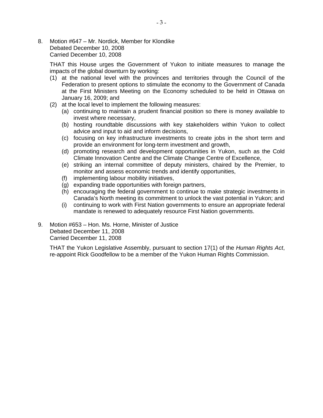8. Motion #647 – Mr. Nordick, Member for Klondike Debated December 10, 2008 Carried December 10, 2008

 THAT this House urges the Government of Yukon to initiate measures to manage the impacts of the global downturn by working:

- (1) at the national level with the provinces and territories through the Council of the Federation to present options to stimulate the economy to the Government of Canada at the First Ministers Meeting on the Economy scheduled to be held in Ottawa on January 16, 2009; and
- (2) at the local level to implement the following measures:
	- (a) continuing to maintain a prudent financial position so there is money available to invest where necessary,
	- (b) hosting roundtable discussions with key stakeholders within Yukon to collect advice and input to aid and inform decisions,
	- (c) focusing on key infrastructure investments to create jobs in the short term and provide an environment for long-term investment and growth,
	- (d) promoting research and development opportunities in Yukon, such as the Cold Climate Innovation Centre and the Climate Change Centre of Excellence,
	- (e) striking an internal committee of deputy ministers, chaired by the Premier, to monitor and assess economic trends and identify opportunities,
	- (f) implementing labour mobility initiatives,
	- (g) expanding trade opportunities with foreign partners,
	- (h) encouraging the federal government to continue to make strategic investments in Canada's North meeting its commitment to unlock the vast potential in Yukon; and
	- (i) continuing to work with First Nation governments to ensure an appropriate federal mandate is renewed to adequately resource First Nation governments.
- 9. Motion #653 Hon. Ms. Horne, Minister of Justice Debated December 11, 2008 Carried December 11, 2008

 THAT the Yukon Legislative Assembly, pursuant to section 17(1) of the *Human Rights Act*, re-appoint Rick Goodfellow to be a member of the Yukon Human Rights Commission.